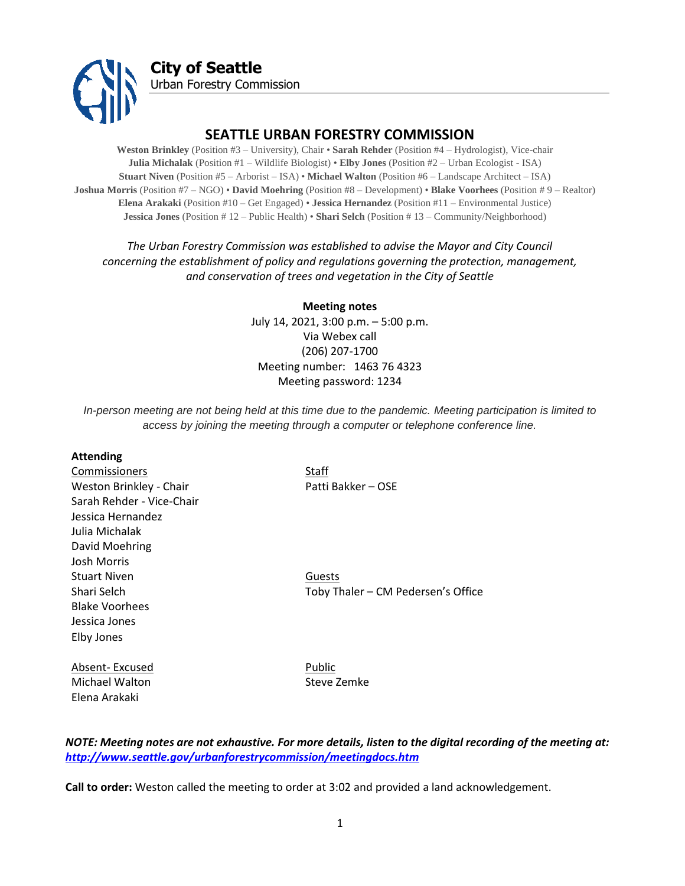

# **SEATTLE URBAN FORESTRY COMMISSION**

**Weston Brinkley** (Position #3 – University), Chair • **Sarah Rehder** (Position #4 – Hydrologist), Vice-chair **Julia Michalak** (Position #1 – Wildlife Biologist) • **Elby Jones** (Position #2 – Urban Ecologist - ISA) **Stuart Niven** (Position #5 – Arborist – ISA) • **Michael Walton** (Position #6 – Landscape Architect – ISA) **Joshua Morris** (Position #7 – NGO) • **David Moehring** (Position #8 – Development) • **Blake Voorhees** (Position # 9 – Realtor) **Elena Arakaki** (Position #10 – Get Engaged) • **Jessica Hernandez** (Position #11 – Environmental Justice) **Jessica Jones** (Position # 12 – Public Health) • **Shari Selch** (Position # 13 – Community/Neighborhood)

*The Urban Forestry Commission was established to advise the Mayor and City Council concerning the establishment of policy and regulations governing the protection, management, and conservation of trees and vegetation in the City of Seattle*

> **Meeting notes** July 14, 2021, 3:00 p.m. – 5:00 p.m. Via Webex call (206) 207-1700 Meeting number: 1463 76 4323 Meeting password: 1234

*In-person meeting are not being held at this time due to the pandemic. Meeting participation is limited to access by joining the meeting through a computer or telephone conference line.*

#### **Attending**

Commissioners Staff Weston Brinkley - Chair Patti Bakker – OSE Sarah Rehder - Vice-Chair Jessica Hernandez Julia Michalak David Moehring Josh Morris Stuart Niven **Guests** Blake Voorhees Jessica Jones Elby Jones

Absent- Excused Public Michael Walton Elena Arakaki

Shari Selch Toby Thaler – CM Pedersen's Office

Steve Zemke

*NOTE: Meeting notes are not exhaustive. For more details, listen to the digital recording of the meeting at: <http://www.seattle.gov/urbanforestrycommission/meetingdocs.htm>*

**Call to order:** Weston called the meeting to order at 3:02 and provided a land acknowledgement.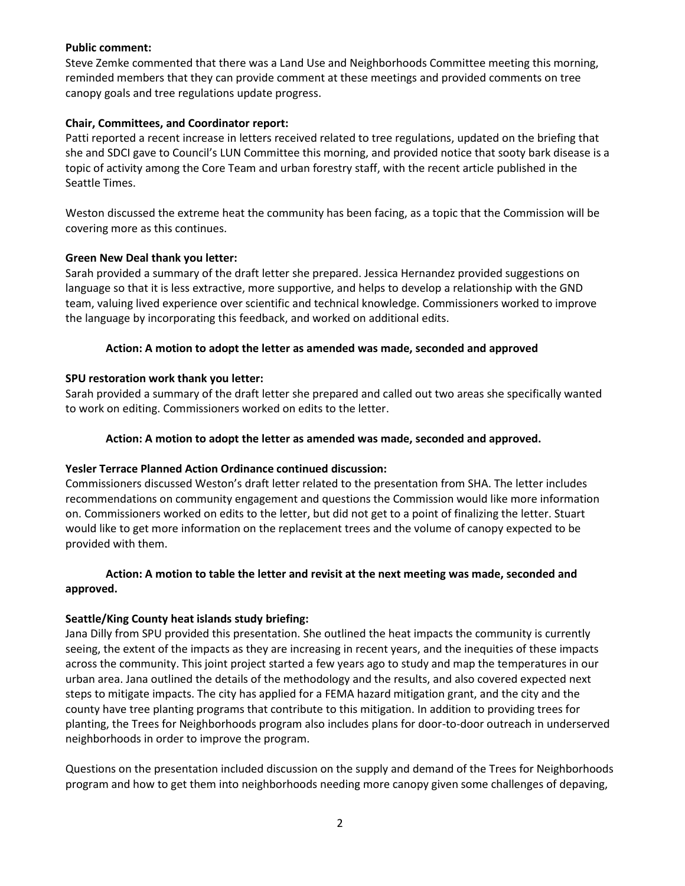### **Public comment:**

Steve Zemke commented that there was a Land Use and Neighborhoods Committee meeting this morning, reminded members that they can provide comment at these meetings and provided comments on tree canopy goals and tree regulations update progress.

## **Chair, Committees, and Coordinator report:**

Patti reported a recent increase in letters received related to tree regulations, updated on the briefing that she and SDCI gave to Council's LUN Committee this morning, and provided notice that sooty bark disease is a topic of activity among the Core Team and urban forestry staff, with the recent article published in the Seattle Times.

Weston discussed the extreme heat the community has been facing, as a topic that the Commission will be covering more as this continues.

### **Green New Deal thank you letter:**

Sarah provided a summary of the draft letter she prepared. Jessica Hernandez provided suggestions on language so that it is less extractive, more supportive, and helps to develop a relationship with the GND team, valuing lived experience over scientific and technical knowledge. Commissioners worked to improve the language by incorporating this feedback, and worked on additional edits.

## **Action: A motion to adopt the letter as amended was made, seconded and approved**

## **SPU restoration work thank you letter:**

Sarah provided a summary of the draft letter she prepared and called out two areas she specifically wanted to work on editing. Commissioners worked on edits to the letter.

### **Action: A motion to adopt the letter as amended was made, seconded and approved.**

# **Yesler Terrace Planned Action Ordinance continued discussion:**

Commissioners discussed Weston's draft letter related to the presentation from SHA. The letter includes recommendations on community engagement and questions the Commission would like more information on. Commissioners worked on edits to the letter, but did not get to a point of finalizing the letter. Stuart would like to get more information on the replacement trees and the volume of canopy expected to be provided with them.

## **Action: A motion to table the letter and revisit at the next meeting was made, seconded and approved.**

# **Seattle/King County heat islands study briefing:**

Jana Dilly from SPU provided this presentation. She outlined the heat impacts the community is currently seeing, the extent of the impacts as they are increasing in recent years, and the inequities of these impacts across the community. This joint project started a few years ago to study and map the temperatures in our urban area. Jana outlined the details of the methodology and the results, and also covered expected next steps to mitigate impacts. The city has applied for a FEMA hazard mitigation grant, and the city and the county have tree planting programs that contribute to this mitigation. In addition to providing trees for planting, the Trees for Neighborhoods program also includes plans for door-to-door outreach in underserved neighborhoods in order to improve the program.

Questions on the presentation included discussion on the supply and demand of the Trees for Neighborhoods program and how to get them into neighborhoods needing more canopy given some challenges of depaving,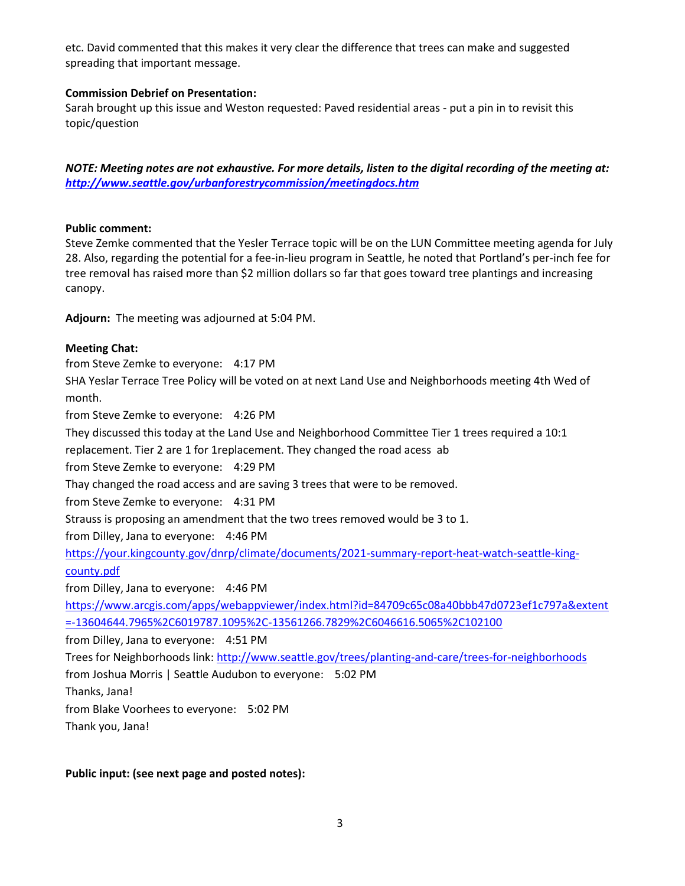etc. David commented that this makes it very clear the difference that trees can make and suggested spreading that important message.

### **Commission Debrief on Presentation:**

Sarah brought up this issue and Weston requested: Paved residential areas - put a pin in to revisit this topic/question

*NOTE: Meeting notes are not exhaustive. For more details, listen to the digital recording of the meeting at: <http://www.seattle.gov/urbanforestrycommission/meetingdocs.htm>*

#### **Public comment:**

Steve Zemke commented that the Yesler Terrace topic will be on the LUN Committee meeting agenda for July 28. Also, regarding the potential for a fee-in-lieu program in Seattle, he noted that Portland's per-inch fee for tree removal has raised more than \$2 million dollars so far that goes toward tree plantings and increasing canopy.

**Adjourn:** The meeting was adjourned at 5:04 PM.

### **Meeting Chat:**

from Steve Zemke to everyone: 4:17 PM SHA Yeslar Terrace Tree Policy will be voted on at next Land Use and Neighborhoods meeting 4th Wed of month.

from Steve Zemke to everyone: 4:26 PM

They discussed this today at the Land Use and Neighborhood Committee Tier 1 trees required a 10:1

replacement. Tier 2 are 1 for 1replacement. They changed the road acess ab

from Steve Zemke to everyone: 4:29 PM

Thay changed the road access and are saving 3 trees that were to be removed.

from Steve Zemke to everyone: 4:31 PM

Strauss is proposing an amendment that the two trees removed would be 3 to 1.

from Dilley, Jana to everyone: 4:46 PM

[https://your.kingcounty.gov/dnrp/climate/documents/2021-summary-report-heat-watch-seattle-king-](https://your.kingcounty.gov/dnrp/climate/documents/2021-summary-report-heat-watch-seattle-king-county.pdf)

### [county.pdf](https://your.kingcounty.gov/dnrp/climate/documents/2021-summary-report-heat-watch-seattle-king-county.pdf)

from Dilley, Jana to everyone: 4:46 PM

[https://www.arcgis.com/apps/webappviewer/index.html?id=84709c65c08a40bbb47d0723ef1c797a&extent](https://www.arcgis.com/apps/webappviewer/index.html?id=84709c65c08a40bbb47d0723ef1c797a&extent=-13604644.7965%2C6019787.1095%2C-13561266.7829%2C6046616.5065%2C102100) [=-13604644.7965%2C6019787.1095%2C-13561266.7829%2C6046616.5065%2C102100](https://www.arcgis.com/apps/webappviewer/index.html?id=84709c65c08a40bbb47d0723ef1c797a&extent=-13604644.7965%2C6019787.1095%2C-13561266.7829%2C6046616.5065%2C102100)

from Dilley, Jana to everyone: 4:51 PM

Trees for Neighborhoods link[: http://www.seattle.gov/trees/planting-and-care/trees-for-neighborhoods](http://www.seattle.gov/trees/planting-and-care/trees-for-neighborhoods)

from Joshua Morris | Seattle Audubon to everyone: 5:02 PM

Thanks, Jana!

from Blake Voorhees to everyone: 5:02 PM

Thank you, Jana!

**Public input: (see next page and posted notes):**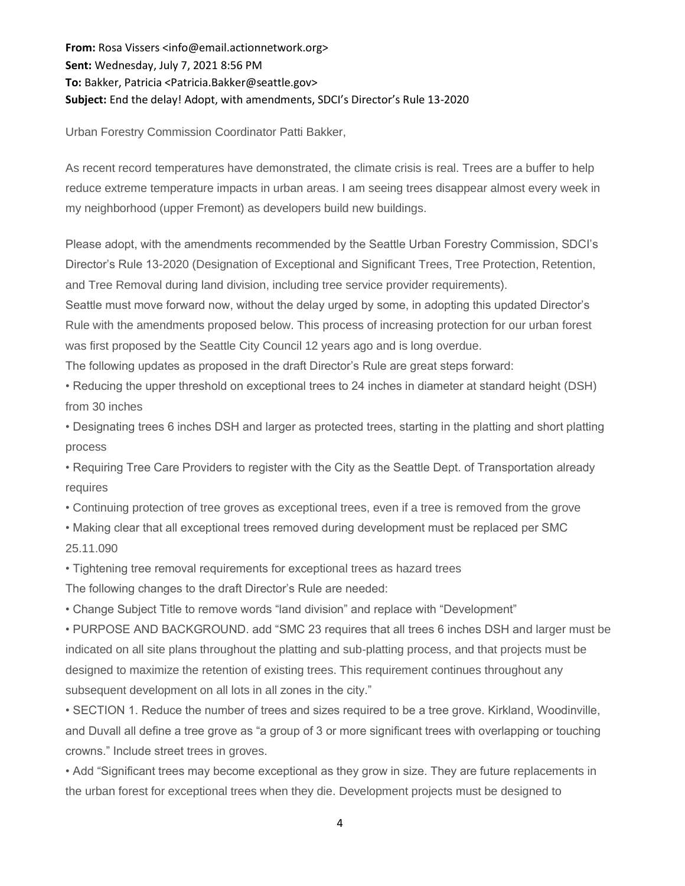From: Rosa Vissers <info@email.actionnetwork.org> **Sent:** Wednesday, July 7, 2021 8:56 PM **To:** Bakker, Patricia <Patricia.Bakker@seattle.gov> **Subject:** End the delay! Adopt, with amendments, SDCI's Director's Rule 13-2020

Urban Forestry Commission Coordinator Patti Bakker,

As recent record temperatures have demonstrated, the climate crisis is real. Trees are a buffer to help reduce extreme temperature impacts in urban areas. I am seeing trees disappear almost every week in my neighborhood (upper Fremont) as developers build new buildings.

Please adopt, with the amendments recommended by the Seattle Urban Forestry Commission, SDCI's Director's Rule 13-2020 (Designation of Exceptional and Significant Trees, Tree Protection, Retention, and Tree Removal during land division, including tree service provider requirements).

Seattle must move forward now, without the delay urged by some, in adopting this updated Director's Rule with the amendments proposed below. This process of increasing protection for our urban forest was first proposed by the Seattle City Council 12 years ago and is long overdue.

The following updates as proposed in the draft Director's Rule are great steps forward:

• Reducing the upper threshold on exceptional trees to 24 inches in diameter at standard height (DSH) from 30 inches

• Designating trees 6 inches DSH and larger as protected trees, starting in the platting and short platting process

• Requiring Tree Care Providers to register with the City as the Seattle Dept. of Transportation already requires

• Continuing protection of tree groves as exceptional trees, even if a tree is removed from the grove

• Making clear that all exceptional trees removed during development must be replaced per SMC 25.11.090

• Tightening tree removal requirements for exceptional trees as hazard trees

The following changes to the draft Director's Rule are needed:

• Change Subject Title to remove words "land division" and replace with "Development"

• PURPOSE AND BACKGROUND. add "SMC 23 requires that all trees 6 inches DSH and larger must be indicated on all site plans throughout the platting and sub-platting process, and that projects must be designed to maximize the retention of existing trees. This requirement continues throughout any subsequent development on all lots in all zones in the city."

• SECTION 1. Reduce the number of trees and sizes required to be a tree grove. Kirkland, Woodinville, and Duvall all define a tree grove as "a group of 3 or more significant trees with overlapping or touching crowns." Include street trees in groves.

• Add "Significant trees may become exceptional as they grow in size. They are future replacements in the urban forest for exceptional trees when they die. Development projects must be designed to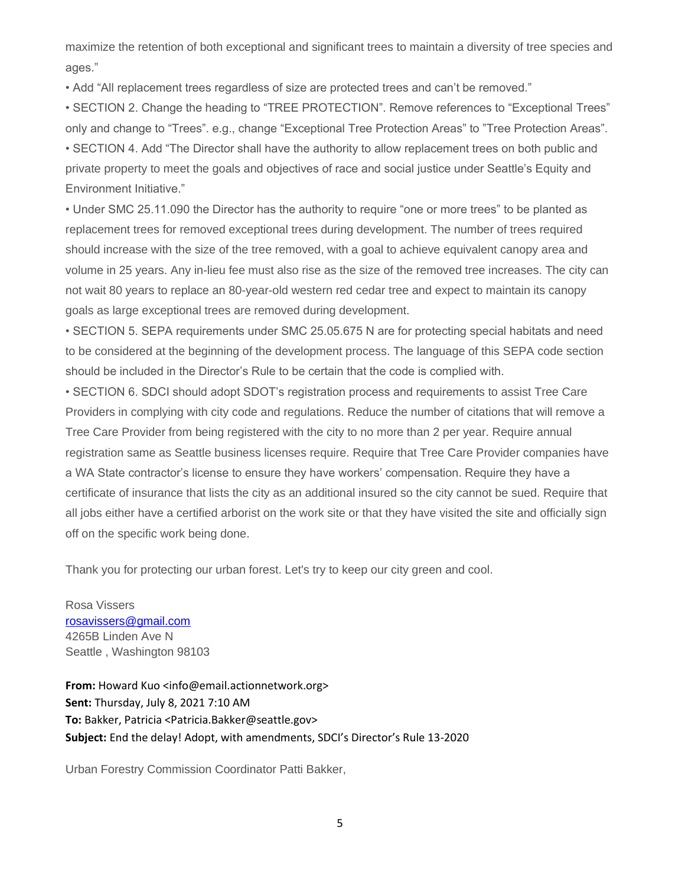maximize the retention of both exceptional and significant trees to maintain a diversity of tree species and ages."

• Add "All replacement trees regardless of size are protected trees and can't be removed."

• SECTION 2. Change the heading to "TREE PROTECTION". Remove references to "Exceptional Trees" only and change to "Trees". e.g., change "Exceptional Tree Protection Areas" to "Tree Protection Areas". • SECTION 4. Add "The Director shall have the authority to allow replacement trees on both public and private property to meet the goals and objectives of race and social justice under Seattle's Equity and Environment Initiative."

• Under SMC 25.11.090 the Director has the authority to require "one or more trees" to be planted as replacement trees for removed exceptional trees during development. The number of trees required should increase with the size of the tree removed, with a goal to achieve equivalent canopy area and volume in 25 years. Any in-lieu fee must also rise as the size of the removed tree increases. The city can not wait 80 years to replace an 80-year-old western red cedar tree and expect to maintain its canopy goals as large exceptional trees are removed during development.

• SECTION 5. SEPA requirements under SMC 25.05.675 N are for protecting special habitats and need to be considered at the beginning of the development process. The language of this SEPA code section should be included in the Director's Rule to be certain that the code is complied with.

• SECTION 6. SDCI should adopt SDOT's registration process and requirements to assist Tree Care Providers in complying with city code and regulations. Reduce the number of citations that will remove a Tree Care Provider from being registered with the city to no more than 2 per year. Require annual registration same as Seattle business licenses require. Require that Tree Care Provider companies have a WA State contractor's license to ensure they have workers' compensation. Require they have a certificate of insurance that lists the city as an additional insured so the city cannot be sued. Require that all jobs either have a certified arborist on the work site or that they have visited the site and officially sign off on the specific work being done.

Thank you for protecting our urban forest. Let's try to keep our city green and cool.

Rosa Vissers [rosavissers@gmail.com](mailto:rosavissers@gmail.com) 4265B Linden Ave N Seattle , Washington 98103

**From:** Howard Kuo <info@email.actionnetwork.org> **Sent:** Thursday, July 8, 2021 7:10 AM **To:** Bakker, Patricia <Patricia.Bakker@seattle.gov> **Subject:** End the delay! Adopt, with amendments, SDCI's Director's Rule 13-2020

Urban Forestry Commission Coordinator Patti Bakker,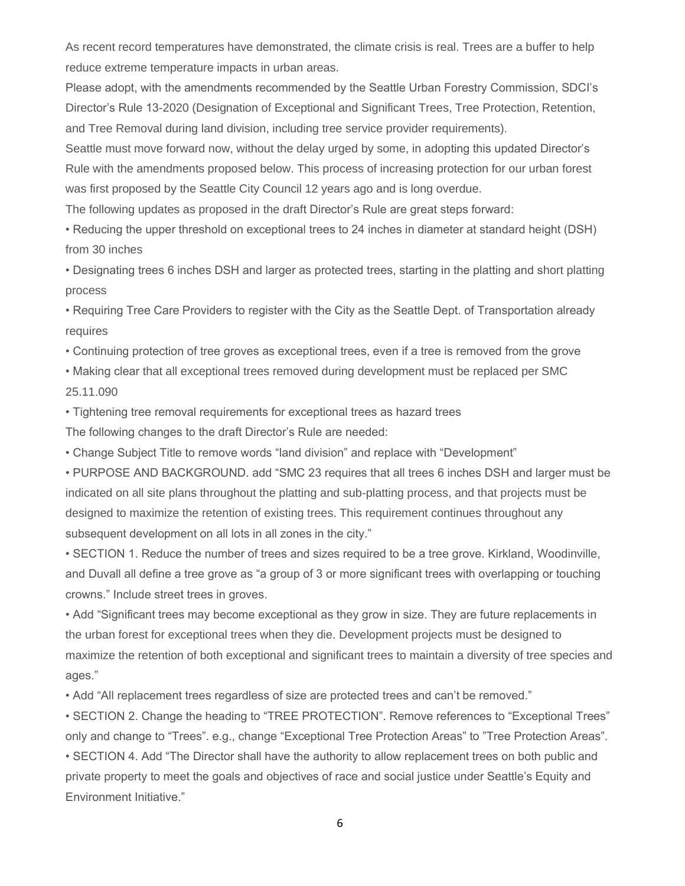As recent record temperatures have demonstrated, the climate crisis is real. Trees are a buffer to help reduce extreme temperature impacts in urban areas.

Please adopt, with the amendments recommended by the Seattle Urban Forestry Commission, SDCI's Director's Rule 13-2020 (Designation of Exceptional and Significant Trees, Tree Protection, Retention, and Tree Removal during land division, including tree service provider requirements).

Seattle must move forward now, without the delay urged by some, in adopting this updated Director's Rule with the amendments proposed below. This process of increasing protection for our urban forest was first proposed by the Seattle City Council 12 years ago and is long overdue.

The following updates as proposed in the draft Director's Rule are great steps forward:

• Reducing the upper threshold on exceptional trees to 24 inches in diameter at standard height (DSH) from 30 inches

• Designating trees 6 inches DSH and larger as protected trees, starting in the platting and short platting process

• Requiring Tree Care Providers to register with the City as the Seattle Dept. of Transportation already requires

• Continuing protection of tree groves as exceptional trees, even if a tree is removed from the grove

• Making clear that all exceptional trees removed during development must be replaced per SMC 25.11.090

• Tightening tree removal requirements for exceptional trees as hazard trees

The following changes to the draft Director's Rule are needed:

• Change Subject Title to remove words "land division" and replace with "Development"

• PURPOSE AND BACKGROUND. add "SMC 23 requires that all trees 6 inches DSH and larger must be indicated on all site plans throughout the platting and sub-platting process, and that projects must be designed to maximize the retention of existing trees. This requirement continues throughout any subsequent development on all lots in all zones in the city."

• SECTION 1. Reduce the number of trees and sizes required to be a tree grove. Kirkland, Woodinville, and Duvall all define a tree grove as "a group of 3 or more significant trees with overlapping or touching crowns." Include street trees in groves.

• Add "Significant trees may become exceptional as they grow in size. They are future replacements in the urban forest for exceptional trees when they die. Development projects must be designed to maximize the retention of both exceptional and significant trees to maintain a diversity of tree species and ages."

• Add "All replacement trees regardless of size are protected trees and can't be removed."

• SECTION 2. Change the heading to "TREE PROTECTION". Remove references to "Exceptional Trees" only and change to "Trees". e.g., change "Exceptional Tree Protection Areas" to "Tree Protection Areas". • SECTION 4. Add "The Director shall have the authority to allow replacement trees on both public and private property to meet the goals and objectives of race and social justice under Seattle's Equity and Environment Initiative."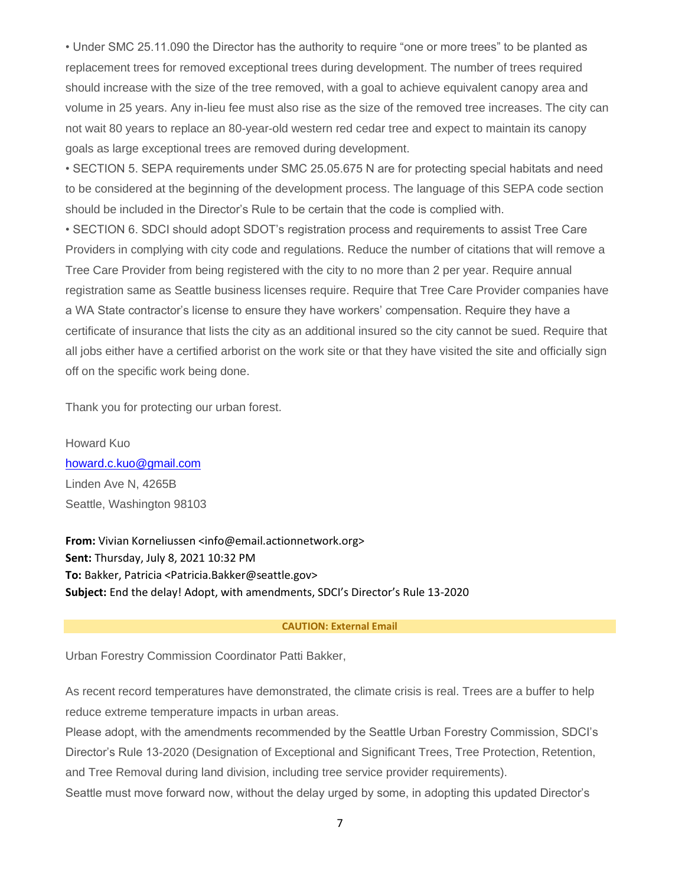• Under SMC 25.11.090 the Director has the authority to require "one or more trees" to be planted as replacement trees for removed exceptional trees during development. The number of trees required should increase with the size of the tree removed, with a goal to achieve equivalent canopy area and volume in 25 years. Any in-lieu fee must also rise as the size of the removed tree increases. The city can not wait 80 years to replace an 80-year-old western red cedar tree and expect to maintain its canopy goals as large exceptional trees are removed during development.

• SECTION 5. SEPA requirements under SMC 25.05.675 N are for protecting special habitats and need to be considered at the beginning of the development process. The language of this SEPA code section should be included in the Director's Rule to be certain that the code is complied with.

• SECTION 6. SDCI should adopt SDOT's registration process and requirements to assist Tree Care Providers in complying with city code and regulations. Reduce the number of citations that will remove a Tree Care Provider from being registered with the city to no more than 2 per year. Require annual registration same as Seattle business licenses require. Require that Tree Care Provider companies have a WA State contractor's license to ensure they have workers' compensation. Require they have a certificate of insurance that lists the city as an additional insured so the city cannot be sued. Require that all jobs either have a certified arborist on the work site or that they have visited the site and officially sign off on the specific work being done.

Thank you for protecting our urban forest.

Howard Kuo [howard.c.kuo@gmail.com](mailto:howard.c.kuo@gmail.com) Linden Ave N, 4265B Seattle, Washington 98103

**From:** Vivian Korneliussen <info@email.actionnetwork.org> **Sent:** Thursday, July 8, 2021 10:32 PM **To:** Bakker, Patricia <Patricia.Bakker@seattle.gov> **Subject:** End the delay! Adopt, with amendments, SDCI's Director's Rule 13-2020

#### **CAUTION: External Email**

Urban Forestry Commission Coordinator Patti Bakker,

As recent record temperatures have demonstrated, the climate crisis is real. Trees are a buffer to help reduce extreme temperature impacts in urban areas.

Please adopt, with the amendments recommended by the Seattle Urban Forestry Commission, SDCI's Director's Rule 13-2020 (Designation of Exceptional and Significant Trees, Tree Protection, Retention, and Tree Removal during land division, including tree service provider requirements).

Seattle must move forward now, without the delay urged by some, in adopting this updated Director's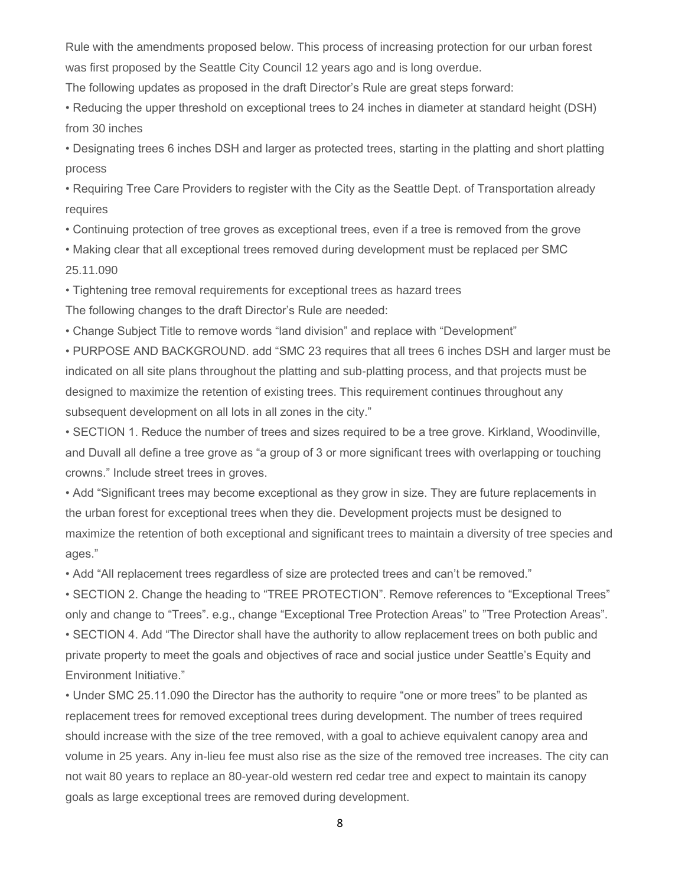Rule with the amendments proposed below. This process of increasing protection for our urban forest was first proposed by the Seattle City Council 12 years ago and is long overdue.

The following updates as proposed in the draft Director's Rule are great steps forward:

• Reducing the upper threshold on exceptional trees to 24 inches in diameter at standard height (DSH) from 30 inches

• Designating trees 6 inches DSH and larger as protected trees, starting in the platting and short platting process

• Requiring Tree Care Providers to register with the City as the Seattle Dept. of Transportation already requires

• Continuing protection of tree groves as exceptional trees, even if a tree is removed from the grove

• Making clear that all exceptional trees removed during development must be replaced per SMC 25.11.090

• Tightening tree removal requirements for exceptional trees as hazard trees

The following changes to the draft Director's Rule are needed:

• Change Subject Title to remove words "land division" and replace with "Development"

• PURPOSE AND BACKGROUND. add "SMC 23 requires that all trees 6 inches DSH and larger must be indicated on all site plans throughout the platting and sub-platting process, and that projects must be designed to maximize the retention of existing trees. This requirement continues throughout any subsequent development on all lots in all zones in the city."

• SECTION 1. Reduce the number of trees and sizes required to be a tree grove. Kirkland, Woodinville, and Duvall all define a tree grove as "a group of 3 or more significant trees with overlapping or touching crowns." Include street trees in groves.

• Add "Significant trees may become exceptional as they grow in size. They are future replacements in the urban forest for exceptional trees when they die. Development projects must be designed to maximize the retention of both exceptional and significant trees to maintain a diversity of tree species and ages."

• Add "All replacement trees regardless of size are protected trees and can't be removed."

• SECTION 2. Change the heading to "TREE PROTECTION". Remove references to "Exceptional Trees" only and change to "Trees". e.g., change "Exceptional Tree Protection Areas" to "Tree Protection Areas".

• SECTION 4. Add "The Director shall have the authority to allow replacement trees on both public and private property to meet the goals and objectives of race and social justice under Seattle's Equity and Environment Initiative."

• Under SMC 25.11.090 the Director has the authority to require "one or more trees" to be planted as replacement trees for removed exceptional trees during development. The number of trees required should increase with the size of the tree removed, with a goal to achieve equivalent canopy area and volume in 25 years. Any in-lieu fee must also rise as the size of the removed tree increases. The city can not wait 80 years to replace an 80-year-old western red cedar tree and expect to maintain its canopy goals as large exceptional trees are removed during development.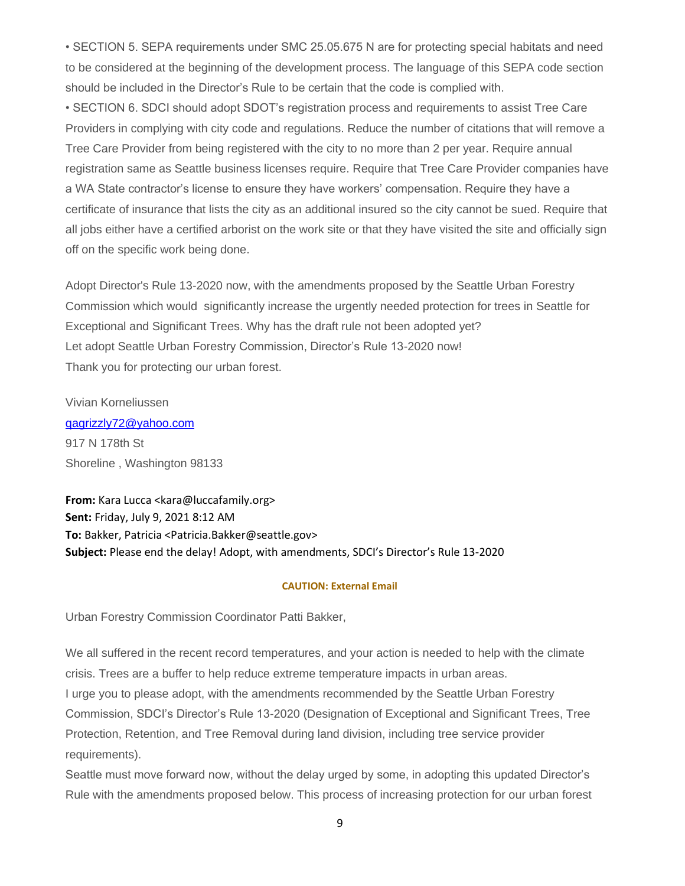• SECTION 5. SEPA requirements under SMC 25.05.675 N are for protecting special habitats and need to be considered at the beginning of the development process. The language of this SEPA code section should be included in the Director's Rule to be certain that the code is complied with.

• SECTION 6. SDCI should adopt SDOT's registration process and requirements to assist Tree Care Providers in complying with city code and regulations. Reduce the number of citations that will remove a Tree Care Provider from being registered with the city to no more than 2 per year. Require annual registration same as Seattle business licenses require. Require that Tree Care Provider companies have a WA State contractor's license to ensure they have workers' compensation. Require they have a certificate of insurance that lists the city as an additional insured so the city cannot be sued. Require that all jobs either have a certified arborist on the work site or that they have visited the site and officially sign off on the specific work being done.

Adopt Director's Rule 13-2020 now, with the amendments proposed by the Seattle Urban Forestry Commission which would significantly increase the urgently needed protection for trees in Seattle for Exceptional and Significant Trees. Why has the draft rule not been adopted yet? Let adopt Seattle Urban Forestry Commission, Director's Rule 13-2020 now! Thank you for protecting our urban forest.

Vivian Korneliussen [qagrizzly72@yahoo.com](mailto:qagrizzly72@yahoo.com) 917 N 178th St Shoreline , Washington 98133

**From:** Kara Lucca <kara@luccafamily.org> **Sent:** Friday, July 9, 2021 8:12 AM **To:** Bakker, Patricia <Patricia.Bakker@seattle.gov> **Subject:** Please end the delay! Adopt, with amendments, SDCI's Director's Rule 13-2020

#### **CAUTION: External Email**

Urban Forestry Commission Coordinator Patti Bakker,

We all suffered in the recent record temperatures, and your action is needed to help with the climate crisis. Trees are a buffer to help reduce extreme temperature impacts in urban areas.

I urge you to please adopt, with the amendments recommended by the Seattle Urban Forestry Commission, SDCI's Director's Rule 13-2020 (Designation of Exceptional and Significant Trees, Tree Protection, Retention, and Tree Removal during land division, including tree service provider requirements).

Seattle must move forward now, without the delay urged by some, in adopting this updated Director's Rule with the amendments proposed below. This process of increasing protection for our urban forest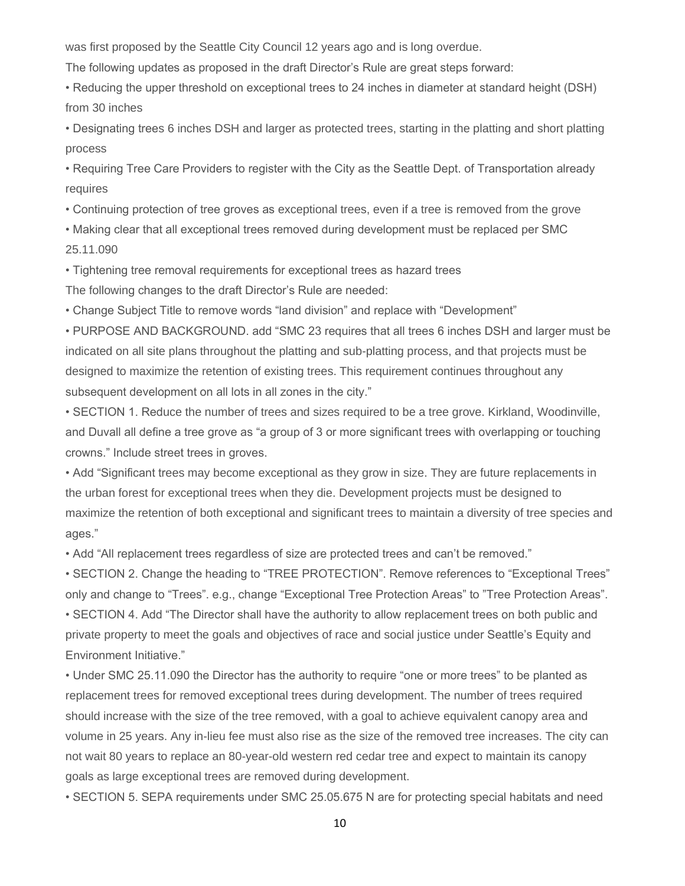was first proposed by the Seattle City Council 12 years ago and is long overdue.

The following updates as proposed in the draft Director's Rule are great steps forward:

• Reducing the upper threshold on exceptional trees to 24 inches in diameter at standard height (DSH) from 30 inches

• Designating trees 6 inches DSH and larger as protected trees, starting in the platting and short platting process

• Requiring Tree Care Providers to register with the City as the Seattle Dept. of Transportation already requires

• Continuing protection of tree groves as exceptional trees, even if a tree is removed from the grove

• Making clear that all exceptional trees removed during development must be replaced per SMC 25.11.090

• Tightening tree removal requirements for exceptional trees as hazard trees

The following changes to the draft Director's Rule are needed:

• Change Subject Title to remove words "land division" and replace with "Development"

• PURPOSE AND BACKGROUND. add "SMC 23 requires that all trees 6 inches DSH and larger must be indicated on all site plans throughout the platting and sub-platting process, and that projects must be designed to maximize the retention of existing trees. This requirement continues throughout any subsequent development on all lots in all zones in the city."

• SECTION 1. Reduce the number of trees and sizes required to be a tree grove. Kirkland, Woodinville, and Duvall all define a tree grove as "a group of 3 or more significant trees with overlapping or touching crowns." Include street trees in groves.

• Add "Significant trees may become exceptional as they grow in size. They are future replacements in the urban forest for exceptional trees when they die. Development projects must be designed to maximize the retention of both exceptional and significant trees to maintain a diversity of tree species and ages."

• Add "All replacement trees regardless of size are protected trees and can't be removed."

• SECTION 2. Change the heading to "TREE PROTECTION". Remove references to "Exceptional Trees" only and change to "Trees". e.g., change "Exceptional Tree Protection Areas" to "Tree Protection Areas". • SECTION 4. Add "The Director shall have the authority to allow replacement trees on both public and private property to meet the goals and objectives of race and social justice under Seattle's Equity and Environment Initiative."

• Under SMC 25.11.090 the Director has the authority to require "one or more trees" to be planted as replacement trees for removed exceptional trees during development. The number of trees required should increase with the size of the tree removed, with a goal to achieve equivalent canopy area and volume in 25 years. Any in-lieu fee must also rise as the size of the removed tree increases. The city can not wait 80 years to replace an 80-year-old western red cedar tree and expect to maintain its canopy goals as large exceptional trees are removed during development.

• SECTION 5. SEPA requirements under SMC 25.05.675 N are for protecting special habitats and need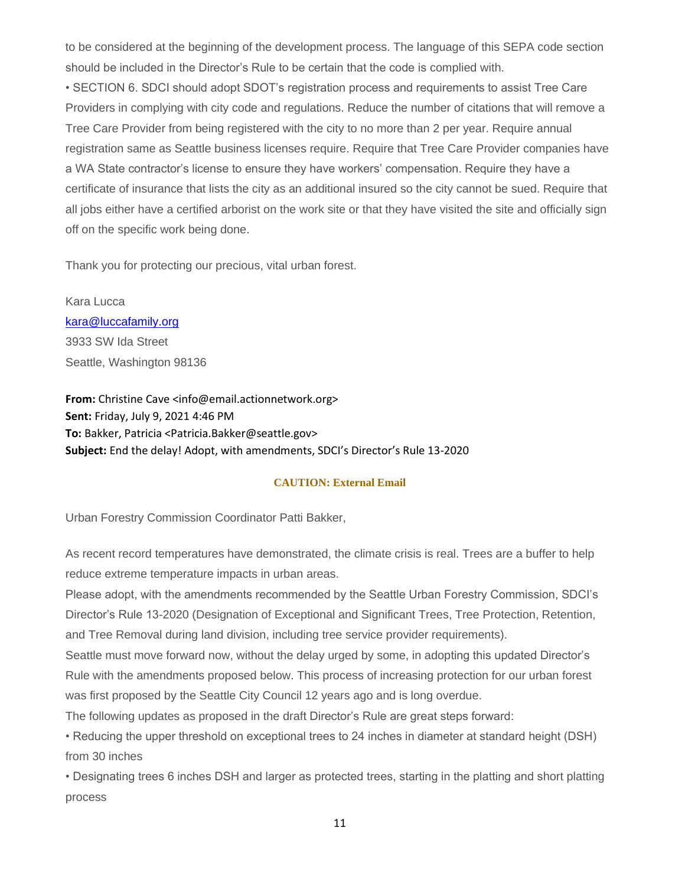to be considered at the beginning of the development process. The language of this SEPA code section should be included in the Director's Rule to be certain that the code is complied with.

• SECTION 6. SDCI should adopt SDOT's registration process and requirements to assist Tree Care Providers in complying with city code and regulations. Reduce the number of citations that will remove a Tree Care Provider from being registered with the city to no more than 2 per year. Require annual registration same as Seattle business licenses require. Require that Tree Care Provider companies have a WA State contractor's license to ensure they have workers' compensation. Require they have a certificate of insurance that lists the city as an additional insured so the city cannot be sued. Require that all jobs either have a certified arborist on the work site or that they have visited the site and officially sign off on the specific work being done.

Thank you for protecting our precious, vital urban forest.

Kara Lucca [kara@luccafamily.org](mailto:kara@luccafamily.org) 3933 SW Ida Street Seattle, Washington 98136

**From:** Christine Cave <info@email.actionnetwork.org> **Sent:** Friday, July 9, 2021 4:46 PM **To:** Bakker, Patricia <Patricia.Bakker@seattle.gov> **Subject:** End the delay! Adopt, with amendments, SDCI's Director's Rule 13-2020

### **CAUTION: External Email**

Urban Forestry Commission Coordinator Patti Bakker,

As recent record temperatures have demonstrated, the climate crisis is real. Trees are a buffer to help reduce extreme temperature impacts in urban areas.

Please adopt, with the amendments recommended by the Seattle Urban Forestry Commission, SDCI's Director's Rule 13-2020 (Designation of Exceptional and Significant Trees, Tree Protection, Retention, and Tree Removal during land division, including tree service provider requirements).

Seattle must move forward now, without the delay urged by some, in adopting this updated Director's Rule with the amendments proposed below. This process of increasing protection for our urban forest was first proposed by the Seattle City Council 12 years ago and is long overdue.

The following updates as proposed in the draft Director's Rule are great steps forward:

• Reducing the upper threshold on exceptional trees to 24 inches in diameter at standard height (DSH) from 30 inches

• Designating trees 6 inches DSH and larger as protected trees, starting in the platting and short platting process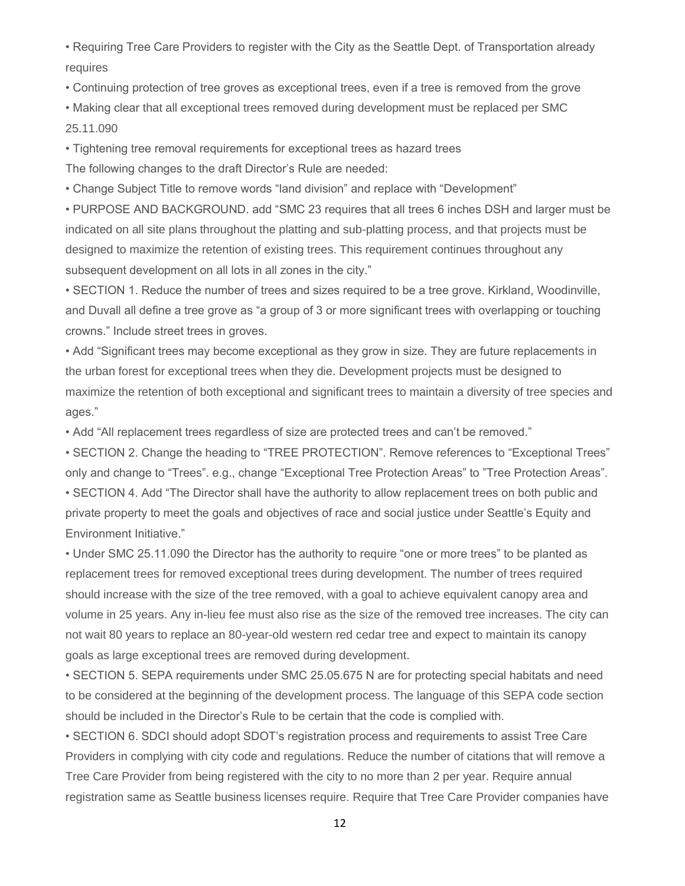• Requiring Tree Care Providers to register with the City as the Seattle Dept. of Transportation already requires

• Continuing protection of tree groves as exceptional trees, even if a tree is removed from the grove

• Making clear that all exceptional trees removed during development must be replaced per SMC 25.11.090

• Tightening tree removal requirements for exceptional trees as hazard trees The following changes to the draft Director's Rule are needed:

• Change Subject Title to remove words "land division" and replace with "Development"

• PURPOSE AND BACKGROUND. add "SMC 23 requires that all trees 6 inches DSH and larger must be indicated on all site plans throughout the platting and sub-platting process, and that projects must be designed to maximize the retention of existing trees. This requirement continues throughout any subsequent development on all lots in all zones in the city."

• SECTION 1. Reduce the number of trees and sizes required to be a tree grove. Kirkland, Woodinville, and Duvall all define a tree grove as "a group of 3 or more significant trees with overlapping or touching crowns." Include street trees in groves.

• Add "Significant trees may become exceptional as they grow in size. They are future replacements in the urban forest for exceptional trees when they die. Development projects must be designed to maximize the retention of both exceptional and significant trees to maintain a diversity of tree species and ages."

• Add "All replacement trees regardless of size are protected trees and can't be removed."

• SECTION 2. Change the heading to "TREE PROTECTION". Remove references to "Exceptional Trees" only and change to "Trees". e.g., change "Exceptional Tree Protection Areas" to "Tree Protection Areas". • SECTION 4. Add "The Director shall have the authority to allow replacement trees on both public and private property to meet the goals and objectives of race and social justice under Seattle's Equity and Environment Initiative."

• Under SMC 25.11.090 the Director has the authority to require "one or more trees" to be planted as replacement trees for removed exceptional trees during development. The number of trees required should increase with the size of the tree removed, with a goal to achieve equivalent canopy area and volume in 25 years. Any in-lieu fee must also rise as the size of the removed tree increases. The city can not wait 80 years to replace an 80-year-old western red cedar tree and expect to maintain its canopy goals as large exceptional trees are removed during development.

• SECTION 5. SEPA requirements under SMC 25.05.675 N are for protecting special habitats and need to be considered at the beginning of the development process. The language of this SEPA code section should be included in the Director's Rule to be certain that the code is complied with.

• SECTION 6. SDCI should adopt SDOT's registration process and requirements to assist Tree Care Providers in complying with city code and regulations. Reduce the number of citations that will remove a Tree Care Provider from being registered with the city to no more than 2 per year. Require annual registration same as Seattle business licenses require. Require that Tree Care Provider companies have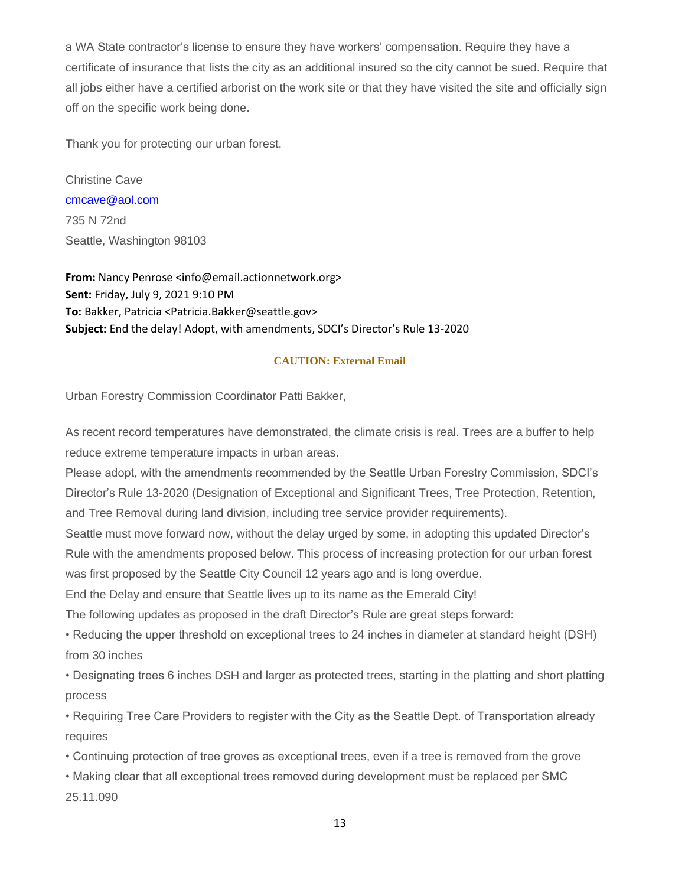a WA State contractor's license to ensure they have workers' compensation. Require they have a certificate of insurance that lists the city as an additional insured so the city cannot be sued. Require that all jobs either have a certified arborist on the work site or that they have visited the site and officially sign off on the specific work being done.

Thank you for protecting our urban forest.

Christine Cave [cmcave@aol.com](mailto:cmcave@aol.com) 735 N 72nd Seattle, Washington 98103

**From:** Nancy Penrose <info@email.actionnetwork.org> **Sent:** Friday, July 9, 2021 9:10 PM **To:** Bakker, Patricia <Patricia.Bakker@seattle.gov> **Subject:** End the delay! Adopt, with amendments, SDCI's Director's Rule 13-2020

#### **CAUTION: External Email**

Urban Forestry Commission Coordinator Patti Bakker,

As recent record temperatures have demonstrated, the climate crisis is real. Trees are a buffer to help reduce extreme temperature impacts in urban areas.

Please adopt, with the amendments recommended by the Seattle Urban Forestry Commission, SDCI's Director's Rule 13-2020 (Designation of Exceptional and Significant Trees, Tree Protection, Retention, and Tree Removal during land division, including tree service provider requirements).

Seattle must move forward now, without the delay urged by some, in adopting this updated Director's Rule with the amendments proposed below. This process of increasing protection for our urban forest was first proposed by the Seattle City Council 12 years ago and is long overdue.

End the Delay and ensure that Seattle lives up to its name as the Emerald City!

The following updates as proposed in the draft Director's Rule are great steps forward:

• Reducing the upper threshold on exceptional trees to 24 inches in diameter at standard height (DSH) from 30 inches

• Designating trees 6 inches DSH and larger as protected trees, starting in the platting and short platting process

• Requiring Tree Care Providers to register with the City as the Seattle Dept. of Transportation already requires

• Continuing protection of tree groves as exceptional trees, even if a tree is removed from the grove

• Making clear that all exceptional trees removed during development must be replaced per SMC 25.11.090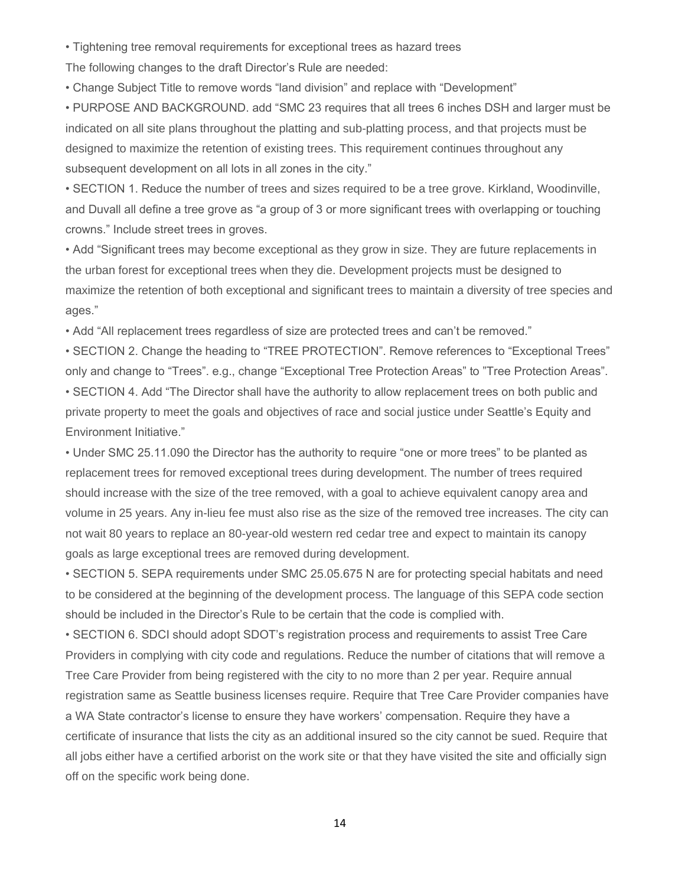• Tightening tree removal requirements for exceptional trees as hazard trees

The following changes to the draft Director's Rule are needed:

• Change Subject Title to remove words "land division" and replace with "Development"

• PURPOSE AND BACKGROUND. add "SMC 23 requires that all trees 6 inches DSH and larger must be indicated on all site plans throughout the platting and sub-platting process, and that projects must be designed to maximize the retention of existing trees. This requirement continues throughout any subsequent development on all lots in all zones in the city."

• SECTION 1. Reduce the number of trees and sizes required to be a tree grove. Kirkland, Woodinville, and Duvall all define a tree grove as "a group of 3 or more significant trees with overlapping or touching crowns." Include street trees in groves.

• Add "Significant trees may become exceptional as they grow in size. They are future replacements in the urban forest for exceptional trees when they die. Development projects must be designed to maximize the retention of both exceptional and significant trees to maintain a diversity of tree species and ages."

• Add "All replacement trees regardless of size are protected trees and can't be removed."

• SECTION 2. Change the heading to "TREE PROTECTION". Remove references to "Exceptional Trees" only and change to "Trees". e.g., change "Exceptional Tree Protection Areas" to "Tree Protection Areas". • SECTION 4. Add "The Director shall have the authority to allow replacement trees on both public and private property to meet the goals and objectives of race and social justice under Seattle's Equity and Environment Initiative."

• Under SMC 25.11.090 the Director has the authority to require "one or more trees" to be planted as replacement trees for removed exceptional trees during development. The number of trees required should increase with the size of the tree removed, with a goal to achieve equivalent canopy area and volume in 25 years. Any in-lieu fee must also rise as the size of the removed tree increases. The city can not wait 80 years to replace an 80-year-old western red cedar tree and expect to maintain its canopy goals as large exceptional trees are removed during development.

• SECTION 5. SEPA requirements under SMC 25.05.675 N are for protecting special habitats and need to be considered at the beginning of the development process. The language of this SEPA code section should be included in the Director's Rule to be certain that the code is complied with.

• SECTION 6. SDCI should adopt SDOT's registration process and requirements to assist Tree Care Providers in complying with city code and regulations. Reduce the number of citations that will remove a Tree Care Provider from being registered with the city to no more than 2 per year. Require annual registration same as Seattle business licenses require. Require that Tree Care Provider companies have a WA State contractor's license to ensure they have workers' compensation. Require they have a certificate of insurance that lists the city as an additional insured so the city cannot be sued. Require that all jobs either have a certified arborist on the work site or that they have visited the site and officially sign off on the specific work being done.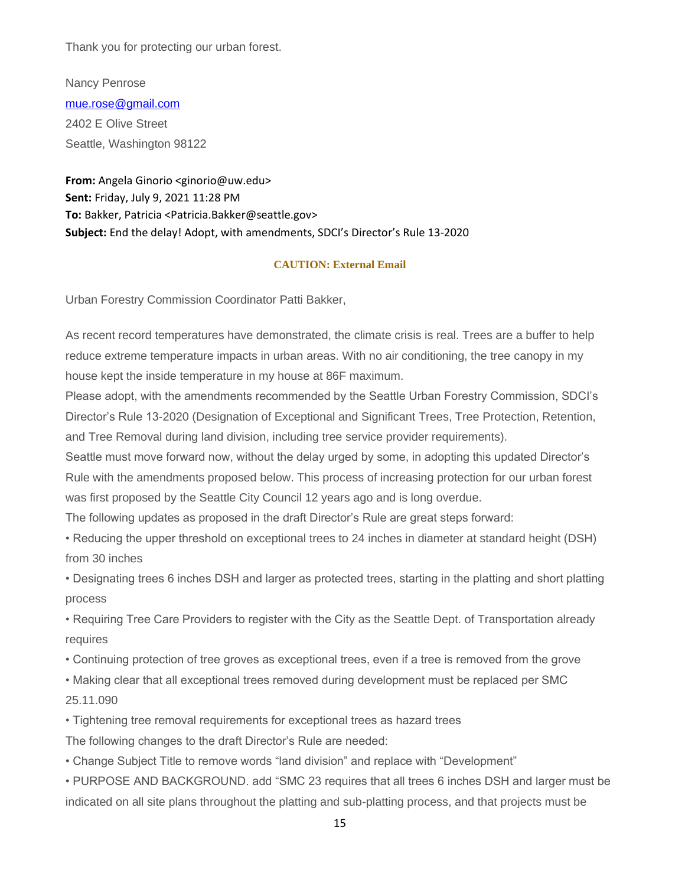Thank you for protecting our urban forest.

Nancy Penrose [mue.rose@gmail.com](mailto:mue.rose@gmail.com) 2402 E Olive Street Seattle, Washington 98122

**From:** Angela Ginorio <ginorio@uw.edu> **Sent:** Friday, July 9, 2021 11:28 PM **To:** Bakker, Patricia <Patricia.Bakker@seattle.gov> **Subject:** End the delay! Adopt, with amendments, SDCI's Director's Rule 13-2020

#### **CAUTION: External Email**

Urban Forestry Commission Coordinator Patti Bakker,

As recent record temperatures have demonstrated, the climate crisis is real. Trees are a buffer to help reduce extreme temperature impacts in urban areas. With no air conditioning, the tree canopy in my house kept the inside temperature in my house at 86F maximum.

Please adopt, with the amendments recommended by the Seattle Urban Forestry Commission, SDCI's Director's Rule 13-2020 (Designation of Exceptional and Significant Trees, Tree Protection, Retention, and Tree Removal during land division, including tree service provider requirements).

Seattle must move forward now, without the delay urged by some, in adopting this updated Director's Rule with the amendments proposed below. This process of increasing protection for our urban forest was first proposed by the Seattle City Council 12 years ago and is long overdue.

The following updates as proposed in the draft Director's Rule are great steps forward:

• Reducing the upper threshold on exceptional trees to 24 inches in diameter at standard height (DSH) from 30 inches

• Designating trees 6 inches DSH and larger as protected trees, starting in the platting and short platting process

• Requiring Tree Care Providers to register with the City as the Seattle Dept. of Transportation already requires

• Continuing protection of tree groves as exceptional trees, even if a tree is removed from the grove

• Making clear that all exceptional trees removed during development must be replaced per SMC 25.11.090

• Tightening tree removal requirements for exceptional trees as hazard trees

The following changes to the draft Director's Rule are needed:

• Change Subject Title to remove words "land division" and replace with "Development"

• PURPOSE AND BACKGROUND. add "SMC 23 requires that all trees 6 inches DSH and larger must be indicated on all site plans throughout the platting and sub-platting process, and that projects must be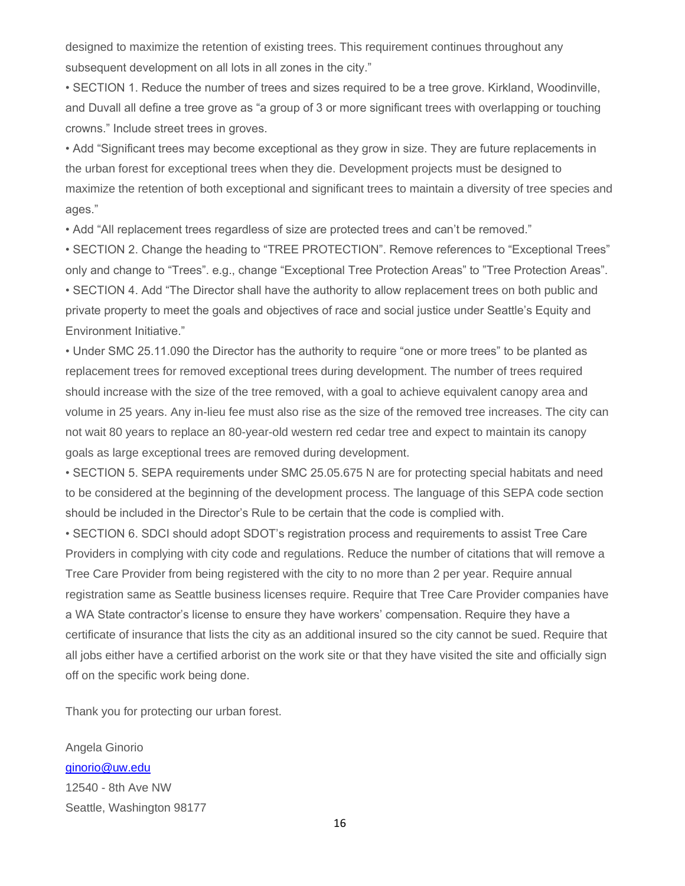designed to maximize the retention of existing trees. This requirement continues throughout any subsequent development on all lots in all zones in the city."

• SECTION 1. Reduce the number of trees and sizes required to be a tree grove. Kirkland, Woodinville, and Duvall all define a tree grove as "a group of 3 or more significant trees with overlapping or touching crowns." Include street trees in groves.

• Add "Significant trees may become exceptional as they grow in size. They are future replacements in the urban forest for exceptional trees when they die. Development projects must be designed to maximize the retention of both exceptional and significant trees to maintain a diversity of tree species and ages."

• Add "All replacement trees regardless of size are protected trees and can't be removed."

• SECTION 2. Change the heading to "TREE PROTECTION". Remove references to "Exceptional Trees" only and change to "Trees". e.g., change "Exceptional Tree Protection Areas" to "Tree Protection Areas". • SECTION 4. Add "The Director shall have the authority to allow replacement trees on both public and private property to meet the goals and objectives of race and social justice under Seattle's Equity and Environment Initiative."

• Under SMC 25.11.090 the Director has the authority to require "one or more trees" to be planted as replacement trees for removed exceptional trees during development. The number of trees required should increase with the size of the tree removed, with a goal to achieve equivalent canopy area and volume in 25 years. Any in-lieu fee must also rise as the size of the removed tree increases. The city can not wait 80 years to replace an 80-year-old western red cedar tree and expect to maintain its canopy goals as large exceptional trees are removed during development.

• SECTION 5. SEPA requirements under SMC 25.05.675 N are for protecting special habitats and need to be considered at the beginning of the development process. The language of this SEPA code section should be included in the Director's Rule to be certain that the code is complied with.

• SECTION 6. SDCI should adopt SDOT's registration process and requirements to assist Tree Care Providers in complying with city code and regulations. Reduce the number of citations that will remove a Tree Care Provider from being registered with the city to no more than 2 per year. Require annual registration same as Seattle business licenses require. Require that Tree Care Provider companies have a WA State contractor's license to ensure they have workers' compensation. Require they have a certificate of insurance that lists the city as an additional insured so the city cannot be sued. Require that all jobs either have a certified arborist on the work site or that they have visited the site and officially sign off on the specific work being done.

Thank you for protecting our urban forest.

Angela Ginorio [ginorio@uw.edu](mailto:ginorio@uw.edu) 12540 - 8th Ave NW Seattle, Washington 98177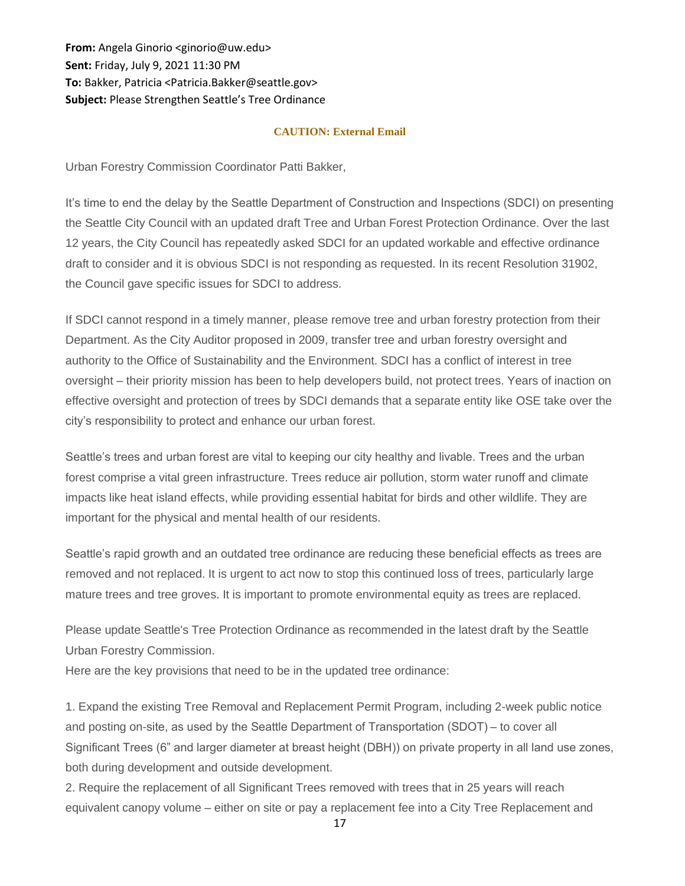**From:** Angela Ginorio <ginorio@uw.edu> **Sent:** Friday, July 9, 2021 11:30 PM **To:** Bakker, Patricia <Patricia.Bakker@seattle.gov> **Subject:** Please Strengthen Seattle's Tree Ordinance

#### **CAUTION: External Email**

Urban Forestry Commission Coordinator Patti Bakker,

It's time to end the delay by the Seattle Department of Construction and Inspections (SDCI) on presenting the Seattle City Council with an updated draft Tree and Urban Forest Protection Ordinance. Over the last 12 years, the City Council has repeatedly asked SDCI for an updated workable and effective ordinance draft to consider and it is obvious SDCI is not responding as requested. In its recent Resolution 31902, the Council gave specific issues for SDCI to address.

If SDCI cannot respond in a timely manner, please remove tree and urban forestry protection from their Department. As the City Auditor proposed in 2009, transfer tree and urban forestry oversight and authority to the Office of Sustainability and the Environment. SDCI has a conflict of interest in tree oversight – their priority mission has been to help developers build, not protect trees. Years of inaction on effective oversight and protection of trees by SDCI demands that a separate entity like OSE take over the city's responsibility to protect and enhance our urban forest.

Seattle's trees and urban forest are vital to keeping our city healthy and livable. Trees and the urban forest comprise a vital green infrastructure. Trees reduce air pollution, storm water runoff and climate impacts like heat island effects, while providing essential habitat for birds and other wildlife. They are important for the physical and mental health of our residents.

Seattle's rapid growth and an outdated tree ordinance are reducing these beneficial effects as trees are removed and not replaced. It is urgent to act now to stop this continued loss of trees, particularly large mature trees and tree groves. It is important to promote environmental equity as trees are replaced.

Please update Seattle's Tree Protection Ordinance as recommended in the latest draft by the Seattle Urban Forestry Commission.

Here are the key provisions that need to be in the updated tree ordinance:

1. Expand the existing Tree Removal and Replacement Permit Program, including 2-week public notice and posting on-site, as used by the Seattle Department of Transportation (SDOT) – to cover all Significant Trees (6" and larger diameter at breast height (DBH)) on private property in all land use zones, both during development and outside development.

2. Require the replacement of all Significant Trees removed with trees that in 25 years will reach equivalent canopy volume – either on site or pay a replacement fee into a City Tree Replacement and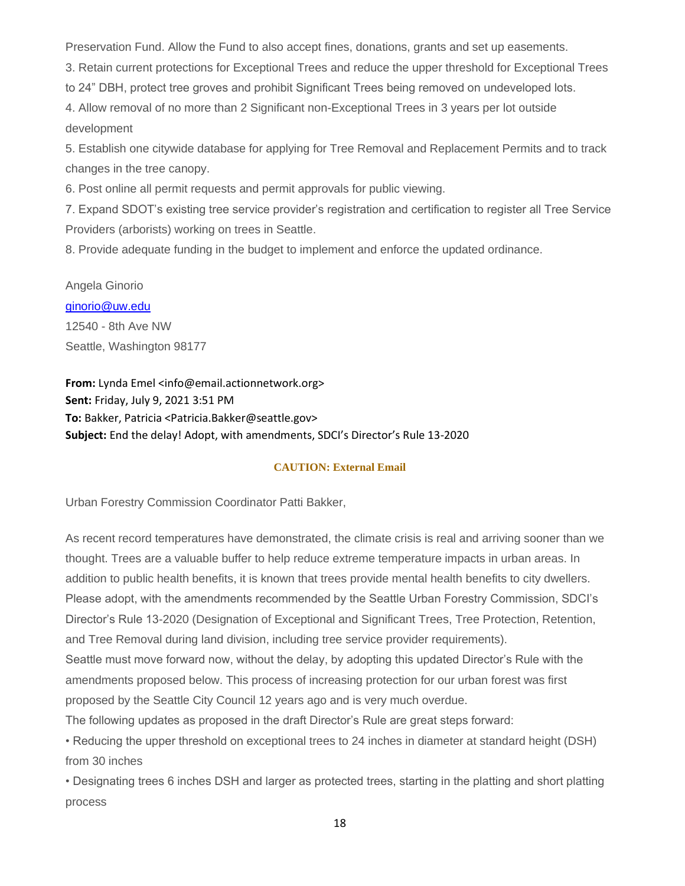Preservation Fund. Allow the Fund to also accept fines, donations, grants and set up easements.

3. Retain current protections for Exceptional Trees and reduce the upper threshold for Exceptional Trees

to 24" DBH, protect tree groves and prohibit Significant Trees being removed on undeveloped lots.

4. Allow removal of no more than 2 Significant non-Exceptional Trees in 3 years per lot outside development

5. Establish one citywide database for applying for Tree Removal and Replacement Permits and to track changes in the tree canopy.

6. Post online all permit requests and permit approvals for public viewing.

7. Expand SDOT's existing tree service provider's registration and certification to register all Tree Service Providers (arborists) working on trees in Seattle.

8. Provide adequate funding in the budget to implement and enforce the updated ordinance.

Angela Ginorio [ginorio@uw.edu](mailto:ginorio@uw.edu) 12540 - 8th Ave NW Seattle, Washington 98177

**From:** Lynda Emel <info@email.actionnetwork.org> **Sent:** Friday, July 9, 2021 3:51 PM **To:** Bakker, Patricia <Patricia.Bakker@seattle.gov> **Subject:** End the delay! Adopt, with amendments, SDCI's Director's Rule 13-2020

# **CAUTION: External Email**

Urban Forestry Commission Coordinator Patti Bakker,

As recent record temperatures have demonstrated, the climate crisis is real and arriving sooner than we thought. Trees are a valuable buffer to help reduce extreme temperature impacts in urban areas. In addition to public health benefits, it is known that trees provide mental health benefits to city dwellers. Please adopt, with the amendments recommended by the Seattle Urban Forestry Commission, SDCI's Director's Rule 13-2020 (Designation of Exceptional and Significant Trees, Tree Protection, Retention, and Tree Removal during land division, including tree service provider requirements). Seattle must move forward now, without the delay, by adopting this updated Director's Rule with the amendments proposed below. This process of increasing protection for our urban forest was first

proposed by the Seattle City Council 12 years ago and is very much overdue.

The following updates as proposed in the draft Director's Rule are great steps forward:

• Reducing the upper threshold on exceptional trees to 24 inches in diameter at standard height (DSH) from 30 inches

• Designating trees 6 inches DSH and larger as protected trees, starting in the platting and short platting process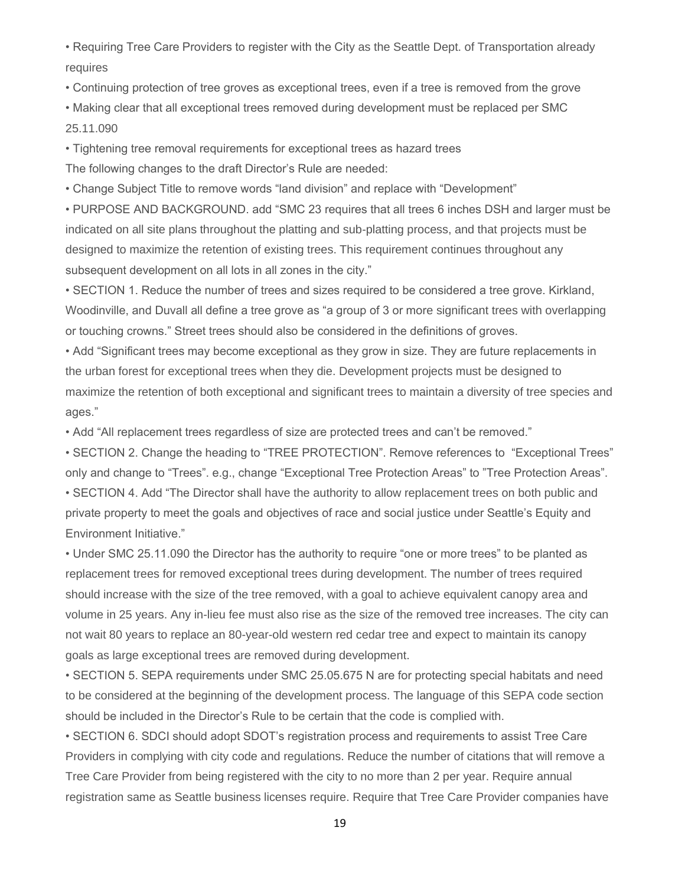• Requiring Tree Care Providers to register with the City as the Seattle Dept. of Transportation already requires

• Continuing protection of tree groves as exceptional trees, even if a tree is removed from the grove

• Making clear that all exceptional trees removed during development must be replaced per SMC 25.11.090

• Tightening tree removal requirements for exceptional trees as hazard trees The following changes to the draft Director's Rule are needed:

• Change Subject Title to remove words "land division" and replace with "Development"

• PURPOSE AND BACKGROUND. add "SMC 23 requires that all trees 6 inches DSH and larger must be indicated on all site plans throughout the platting and sub-platting process, and that projects must be designed to maximize the retention of existing trees. This requirement continues throughout any subsequent development on all lots in all zones in the city."

• SECTION 1. Reduce the number of trees and sizes required to be considered a tree grove. Kirkland, Woodinville, and Duvall all define a tree grove as "a group of 3 or more significant trees with overlapping or touching crowns." Street trees should also be considered in the definitions of groves.

• Add "Significant trees may become exceptional as they grow in size. They are future replacements in the urban forest for exceptional trees when they die. Development projects must be designed to maximize the retention of both exceptional and significant trees to maintain a diversity of tree species and ages."

• Add "All replacement trees regardless of size are protected trees and can't be removed."

• SECTION 2. Change the heading to "TREE PROTECTION". Remove references to "Exceptional Trees" only and change to "Trees". e.g., change "Exceptional Tree Protection Areas" to "Tree Protection Areas". • SECTION 4. Add "The Director shall have the authority to allow replacement trees on both public and private property to meet the goals and objectives of race and social justice under Seattle's Equity and Environment Initiative."

• Under SMC 25.11.090 the Director has the authority to require "one or more trees" to be planted as replacement trees for removed exceptional trees during development. The number of trees required should increase with the size of the tree removed, with a goal to achieve equivalent canopy area and volume in 25 years. Any in-lieu fee must also rise as the size of the removed tree increases. The city can not wait 80 years to replace an 80-year-old western red cedar tree and expect to maintain its canopy goals as large exceptional trees are removed during development.

• SECTION 5. SEPA requirements under SMC 25.05.675 N are for protecting special habitats and need to be considered at the beginning of the development process. The language of this SEPA code section should be included in the Director's Rule to be certain that the code is complied with.

• SECTION 6. SDCI should adopt SDOT's registration process and requirements to assist Tree Care Providers in complying with city code and regulations. Reduce the number of citations that will remove a Tree Care Provider from being registered with the city to no more than 2 per year. Require annual registration same as Seattle business licenses require. Require that Tree Care Provider companies have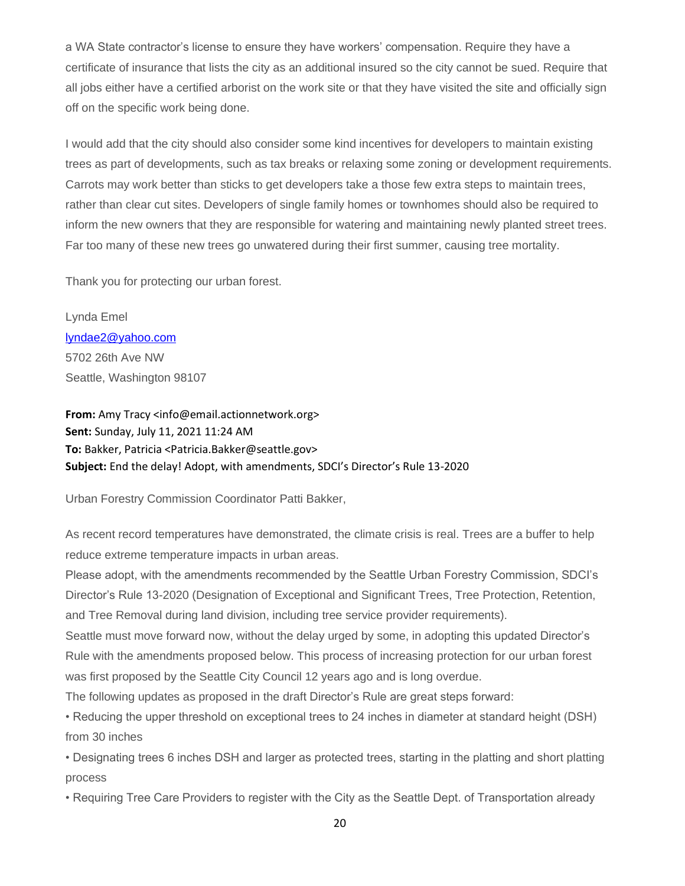a WA State contractor's license to ensure they have workers' compensation. Require they have a certificate of insurance that lists the city as an additional insured so the city cannot be sued. Require that all jobs either have a certified arborist on the work site or that they have visited the site and officially sign off on the specific work being done.

I would add that the city should also consider some kind incentives for developers to maintain existing trees as part of developments, such as tax breaks or relaxing some zoning or development requirements. Carrots may work better than sticks to get developers take a those few extra steps to maintain trees, rather than clear cut sites. Developers of single family homes or townhomes should also be required to inform the new owners that they are responsible for watering and maintaining newly planted street trees. Far too many of these new trees go unwatered during their first summer, causing tree mortality.

Thank you for protecting our urban forest.

Lynda Emel [lyndae2@yahoo.com](mailto:lyndae2@yahoo.com) 5702 26th Ave NW Seattle, Washington 98107

**From:** Amy Tracy <info@email.actionnetwork.org> **Sent:** Sunday, July 11, 2021 11:24 AM **To:** Bakker, Patricia <Patricia.Bakker@seattle.gov> **Subject:** End the delay! Adopt, with amendments, SDCI's Director's Rule 13-2020

Urban Forestry Commission Coordinator Patti Bakker,

As recent record temperatures have demonstrated, the climate crisis is real. Trees are a buffer to help reduce extreme temperature impacts in urban areas.

Please adopt, with the amendments recommended by the Seattle Urban Forestry Commission, SDCI's Director's Rule 13-2020 (Designation of Exceptional and Significant Trees, Tree Protection, Retention, and Tree Removal during land division, including tree service provider requirements).

Seattle must move forward now, without the delay urged by some, in adopting this updated Director's Rule with the amendments proposed below. This process of increasing protection for our urban forest was first proposed by the Seattle City Council 12 years ago and is long overdue.

The following updates as proposed in the draft Director's Rule are great steps forward:

• Reducing the upper threshold on exceptional trees to 24 inches in diameter at standard height (DSH) from 30 inches

• Designating trees 6 inches DSH and larger as protected trees, starting in the platting and short platting process

• Requiring Tree Care Providers to register with the City as the Seattle Dept. of Transportation already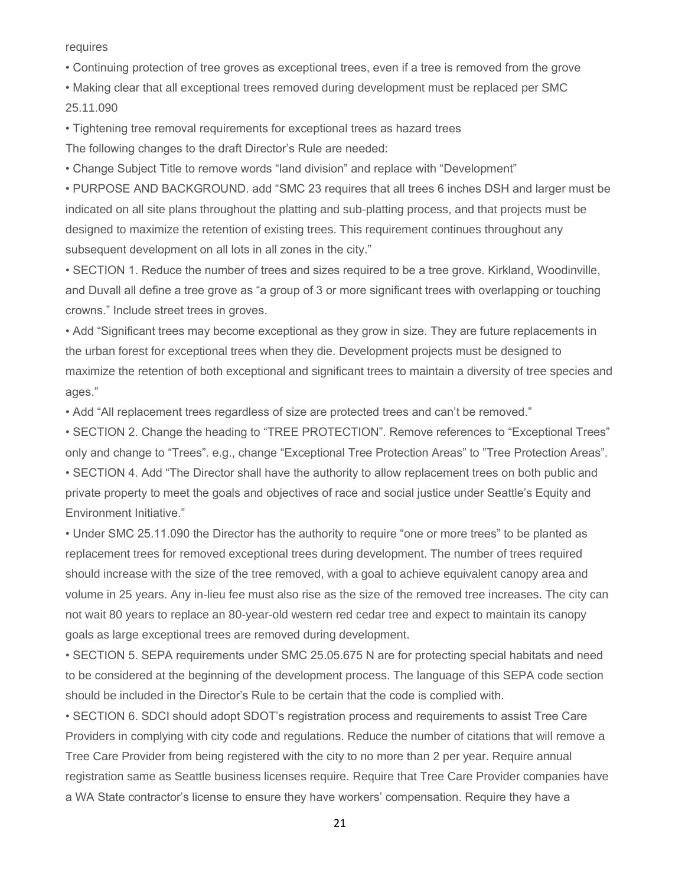requires

• Continuing protection of tree groves as exceptional trees, even if a tree is removed from the grove

• Making clear that all exceptional trees removed during development must be replaced per SMC 25.11.090

• Tightening tree removal requirements for exceptional trees as hazard trees

The following changes to the draft Director's Rule are needed:

• Change Subject Title to remove words "land division" and replace with "Development"

• PURPOSE AND BACKGROUND. add "SMC 23 requires that all trees 6 inches DSH and larger must be indicated on all site plans throughout the platting and sub-platting process, and that projects must be designed to maximize the retention of existing trees. This requirement continues throughout any subsequent development on all lots in all zones in the city."

• SECTION 1. Reduce the number of trees and sizes required to be a tree grove. Kirkland, Woodinville, and Duvall all define a tree grove as "a group of 3 or more significant trees with overlapping or touching crowns." Include street trees in groves.

• Add "Significant trees may become exceptional as they grow in size. They are future replacements in the urban forest for exceptional trees when they die. Development projects must be designed to maximize the retention of both exceptional and significant trees to maintain a diversity of tree species and ages."

• Add "All replacement trees regardless of size are protected trees and can't be removed."

• SECTION 2. Change the heading to "TREE PROTECTION". Remove references to "Exceptional Trees" only and change to "Trees". e.g., change "Exceptional Tree Protection Areas" to "Tree Protection Areas". • SECTION 4. Add "The Director shall have the authority to allow replacement trees on both public and private property to meet the goals and objectives of race and social justice under Seattle's Equity and Environment Initiative."

• Under SMC 25.11.090 the Director has the authority to require "one or more trees" to be planted as replacement trees for removed exceptional trees during development. The number of trees required should increase with the size of the tree removed, with a goal to achieve equivalent canopy area and volume in 25 years. Any in-lieu fee must also rise as the size of the removed tree increases. The city can not wait 80 years to replace an 80-year-old western red cedar tree and expect to maintain its canopy goals as large exceptional trees are removed during development.

• SECTION 5. SEPA requirements under SMC 25.05.675 N are for protecting special habitats and need to be considered at the beginning of the development process. The language of this SEPA code section should be included in the Director's Rule to be certain that the code is complied with.

• SECTION 6. SDCI should adopt SDOT's registration process and requirements to assist Tree Care Providers in complying with city code and regulations. Reduce the number of citations that will remove a Tree Care Provider from being registered with the city to no more than 2 per year. Require annual registration same as Seattle business licenses require. Require that Tree Care Provider companies have a WA State contractor's license to ensure they have workers' compensation. Require they have a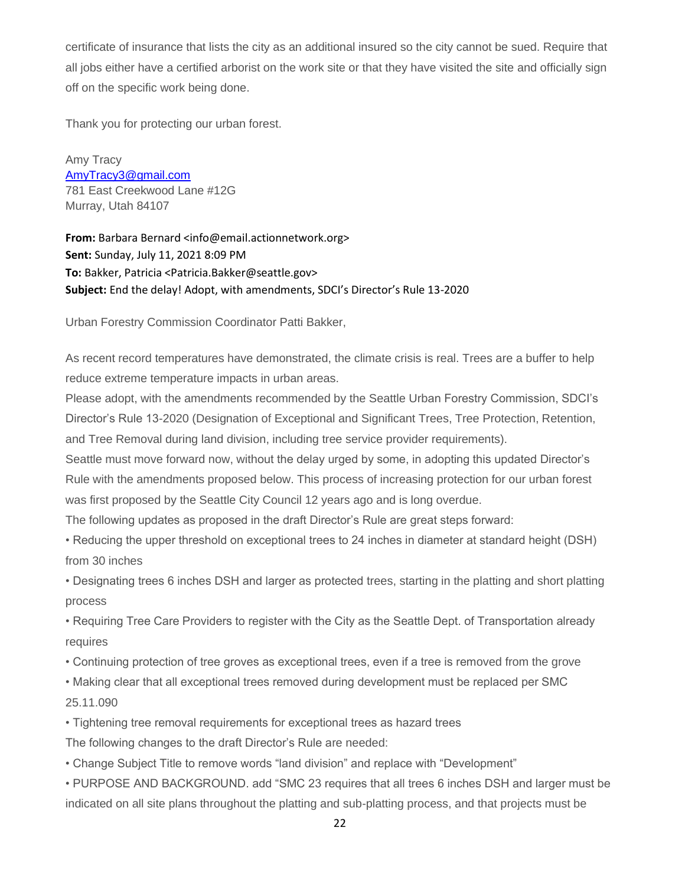certificate of insurance that lists the city as an additional insured so the city cannot be sued. Require that all jobs either have a certified arborist on the work site or that they have visited the site and officially sign off on the specific work being done.

Thank you for protecting our urban forest.

Amy Tracy [AmyTracy3@gmail.com](mailto:AmyTracy3@gmail.com) 781 East Creekwood Lane #12G Murray, Utah 84107

**From:** Barbara Bernard <info@email.actionnetwork.org> **Sent:** Sunday, July 11, 2021 8:09 PM **To:** Bakker, Patricia <Patricia.Bakker@seattle.gov> **Subject:** End the delay! Adopt, with amendments, SDCI's Director's Rule 13-2020

Urban Forestry Commission Coordinator Patti Bakker,

As recent record temperatures have demonstrated, the climate crisis is real. Trees are a buffer to help reduce extreme temperature impacts in urban areas.

Please adopt, with the amendments recommended by the Seattle Urban Forestry Commission, SDCI's Director's Rule 13-2020 (Designation of Exceptional and Significant Trees, Tree Protection, Retention, and Tree Removal during land division, including tree service provider requirements).

Seattle must move forward now, without the delay urged by some, in adopting this updated Director's Rule with the amendments proposed below. This process of increasing protection for our urban forest was first proposed by the Seattle City Council 12 years ago and is long overdue.

The following updates as proposed in the draft Director's Rule are great steps forward:

• Reducing the upper threshold on exceptional trees to 24 inches in diameter at standard height (DSH) from 30 inches

• Designating trees 6 inches DSH and larger as protected trees, starting in the platting and short platting process

• Requiring Tree Care Providers to register with the City as the Seattle Dept. of Transportation already requires

• Continuing protection of tree groves as exceptional trees, even if a tree is removed from the grove

• Making clear that all exceptional trees removed during development must be replaced per SMC 25.11.090

• Tightening tree removal requirements for exceptional trees as hazard trees

The following changes to the draft Director's Rule are needed:

• Change Subject Title to remove words "land division" and replace with "Development"

• PURPOSE AND BACKGROUND. add "SMC 23 requires that all trees 6 inches DSH and larger must be indicated on all site plans throughout the platting and sub-platting process, and that projects must be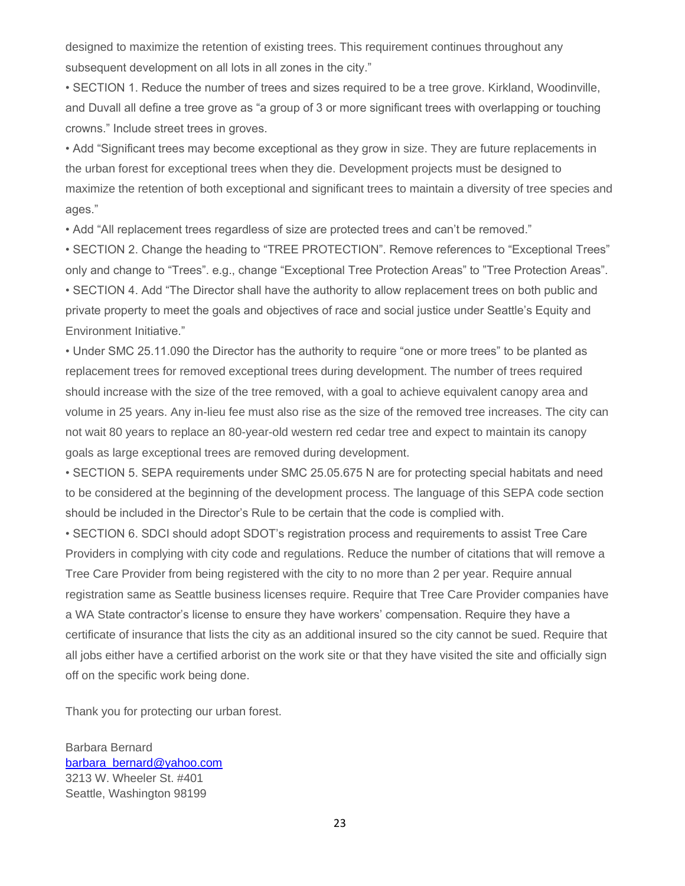designed to maximize the retention of existing trees. This requirement continues throughout any subsequent development on all lots in all zones in the city."

• SECTION 1. Reduce the number of trees and sizes required to be a tree grove. Kirkland, Woodinville, and Duvall all define a tree grove as "a group of 3 or more significant trees with overlapping or touching crowns." Include street trees in groves.

• Add "Significant trees may become exceptional as they grow in size. They are future replacements in the urban forest for exceptional trees when they die. Development projects must be designed to maximize the retention of both exceptional and significant trees to maintain a diversity of tree species and ages."

• Add "All replacement trees regardless of size are protected trees and can't be removed."

• SECTION 2. Change the heading to "TREE PROTECTION". Remove references to "Exceptional Trees" only and change to "Trees". e.g., change "Exceptional Tree Protection Areas" to "Tree Protection Areas". • SECTION 4. Add "The Director shall have the authority to allow replacement trees on both public and private property to meet the goals and objectives of race and social justice under Seattle's Equity and Environment Initiative."

• Under SMC 25.11.090 the Director has the authority to require "one or more trees" to be planted as replacement trees for removed exceptional trees during development. The number of trees required should increase with the size of the tree removed, with a goal to achieve equivalent canopy area and volume in 25 years. Any in-lieu fee must also rise as the size of the removed tree increases. The city can not wait 80 years to replace an 80-year-old western red cedar tree and expect to maintain its canopy goals as large exceptional trees are removed during development.

• SECTION 5. SEPA requirements under SMC 25.05.675 N are for protecting special habitats and need to be considered at the beginning of the development process. The language of this SEPA code section should be included in the Director's Rule to be certain that the code is complied with.

• SECTION 6. SDCI should adopt SDOT's registration process and requirements to assist Tree Care Providers in complying with city code and regulations. Reduce the number of citations that will remove a Tree Care Provider from being registered with the city to no more than 2 per year. Require annual registration same as Seattle business licenses require. Require that Tree Care Provider companies have a WA State contractor's license to ensure they have workers' compensation. Require they have a certificate of insurance that lists the city as an additional insured so the city cannot be sued. Require that all jobs either have a certified arborist on the work site or that they have visited the site and officially sign off on the specific work being done.

Thank you for protecting our urban forest.

Barbara Bernard barbara bernard@yahoo.com 3213 W. Wheeler St. #401 Seattle, Washington 98199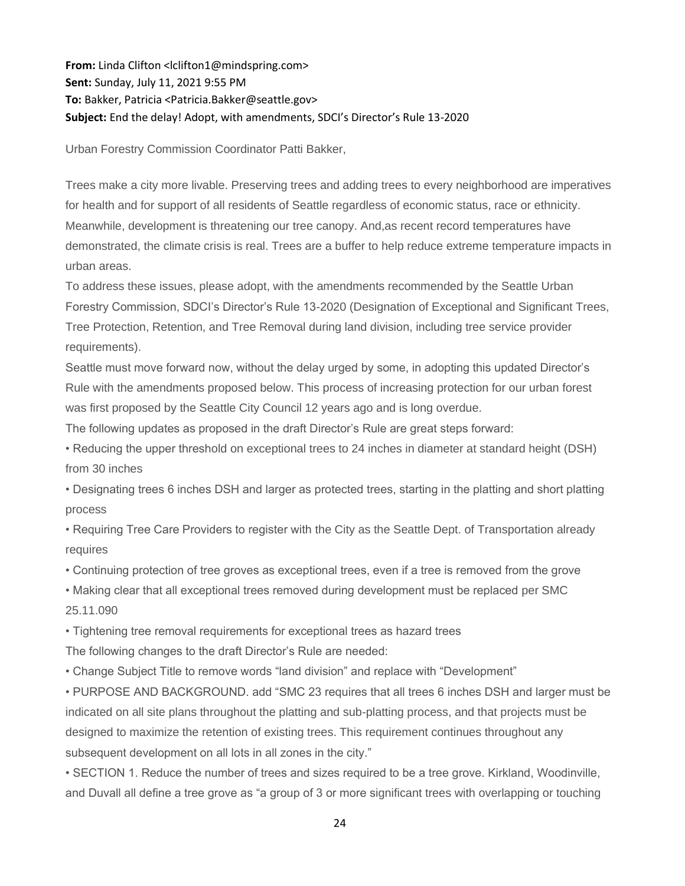**From:** Linda Clifton <lclifton1@mindspring.com> **Sent:** Sunday, July 11, 2021 9:55 PM **To:** Bakker, Patricia <Patricia.Bakker@seattle.gov> **Subject:** End the delay! Adopt, with amendments, SDCI's Director's Rule 13-2020

Urban Forestry Commission Coordinator Patti Bakker,

Trees make a city more livable. Preserving trees and adding trees to every neighborhood are imperatives for health and for support of all residents of Seattle regardless of economic status, race or ethnicity. Meanwhile, development is threatening our tree canopy. And,as recent record temperatures have demonstrated, the climate crisis is real. Trees are a buffer to help reduce extreme temperature impacts in urban areas.

To address these issues, please adopt, with the amendments recommended by the Seattle Urban Forestry Commission, SDCI's Director's Rule 13-2020 (Designation of Exceptional and Significant Trees, Tree Protection, Retention, and Tree Removal during land division, including tree service provider requirements).

Seattle must move forward now, without the delay urged by some, in adopting this updated Director's Rule with the amendments proposed below. This process of increasing protection for our urban forest was first proposed by the Seattle City Council 12 years ago and is long overdue.

The following updates as proposed in the draft Director's Rule are great steps forward:

• Reducing the upper threshold on exceptional trees to 24 inches in diameter at standard height (DSH) from 30 inches

• Designating trees 6 inches DSH and larger as protected trees, starting in the platting and short platting process

• Requiring Tree Care Providers to register with the City as the Seattle Dept. of Transportation already requires

• Continuing protection of tree groves as exceptional trees, even if a tree is removed from the grove

• Making clear that all exceptional trees removed during development must be replaced per SMC 25.11.090

• Tightening tree removal requirements for exceptional trees as hazard trees

The following changes to the draft Director's Rule are needed:

• Change Subject Title to remove words "land division" and replace with "Development"

• PURPOSE AND BACKGROUND. add "SMC 23 requires that all trees 6 inches DSH and larger must be indicated on all site plans throughout the platting and sub-platting process, and that projects must be designed to maximize the retention of existing trees. This requirement continues throughout any subsequent development on all lots in all zones in the city."

• SECTION 1. Reduce the number of trees and sizes required to be a tree grove. Kirkland, Woodinville, and Duvall all define a tree grove as "a group of 3 or more significant trees with overlapping or touching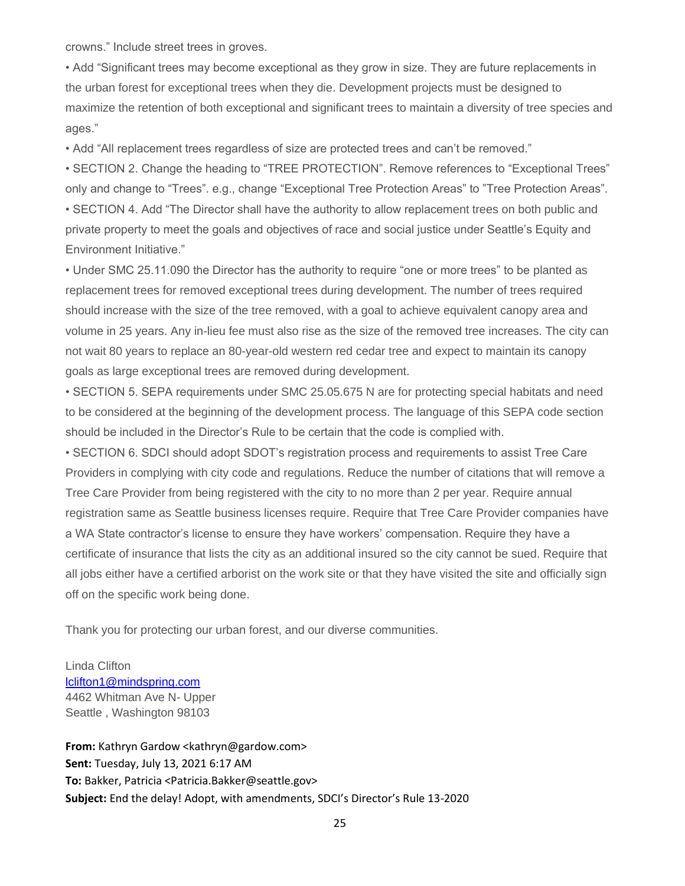crowns." Include street trees in groves.

• Add "Significant trees may become exceptional as they grow in size. They are future replacements in the urban forest for exceptional trees when they die. Development projects must be designed to maximize the retention of both exceptional and significant trees to maintain a diversity of tree species and ages."

• Add "All replacement trees regardless of size are protected trees and can't be removed."

• SECTION 2. Change the heading to "TREE PROTECTION". Remove references to "Exceptional Trees" only and change to "Trees". e.g., change "Exceptional Tree Protection Areas" to "Tree Protection Areas". • SECTION 4. Add "The Director shall have the authority to allow replacement trees on both public and private property to meet the goals and objectives of race and social justice under Seattle's Equity and Environment Initiative."

• Under SMC 25.11.090 the Director has the authority to require "one or more trees" to be planted as replacement trees for removed exceptional trees during development. The number of trees required should increase with the size of the tree removed, with a goal to achieve equivalent canopy area and volume in 25 years. Any in-lieu fee must also rise as the size of the removed tree increases. The city can not wait 80 years to replace an 80-year-old western red cedar tree and expect to maintain its canopy goals as large exceptional trees are removed during development.

• SECTION 5. SEPA requirements under SMC 25.05.675 N are for protecting special habitats and need to be considered at the beginning of the development process. The language of this SEPA code section should be included in the Director's Rule to be certain that the code is complied with.

• SECTION 6. SDCI should adopt SDOT's registration process and requirements to assist Tree Care Providers in complying with city code and regulations. Reduce the number of citations that will remove a Tree Care Provider from being registered with the city to no more than 2 per year. Require annual registration same as Seattle business licenses require. Require that Tree Care Provider companies have a WA State contractor's license to ensure they have workers' compensation. Require they have a certificate of insurance that lists the city as an additional insured so the city cannot be sued. Require that all jobs either have a certified arborist on the work site or that they have visited the site and officially sign off on the specific work being done.

Thank you for protecting our urban forest, and our diverse communities.

Linda Clifton [lclifton1@mindspring.com](mailto:lclifton1@mindspring.com) 4462 Whitman Ave N- Upper Seattle , Washington 98103

**From:** Kathryn Gardow <kathryn@gardow.com> **Sent:** Tuesday, July 13, 2021 6:17 AM **To:** Bakker, Patricia <Patricia.Bakker@seattle.gov> **Subject:** End the delay! Adopt, with amendments, SDCI's Director's Rule 13-2020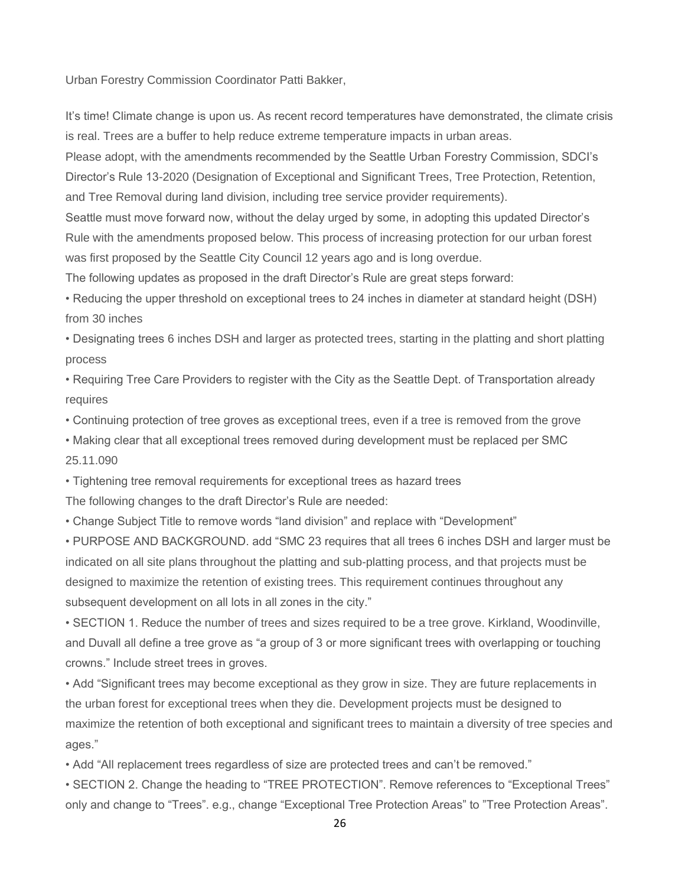Urban Forestry Commission Coordinator Patti Bakker,

It's time! Climate change is upon us. As recent record temperatures have demonstrated, the climate crisis is real. Trees are a buffer to help reduce extreme temperature impacts in urban areas.

Please adopt, with the amendments recommended by the Seattle Urban Forestry Commission, SDCI's Director's Rule 13-2020 (Designation of Exceptional and Significant Trees, Tree Protection, Retention, and Tree Removal during land division, including tree service provider requirements).

Seattle must move forward now, without the delay urged by some, in adopting this updated Director's Rule with the amendments proposed below. This process of increasing protection for our urban forest was first proposed by the Seattle City Council 12 years ago and is long overdue.

The following updates as proposed in the draft Director's Rule are great steps forward:

• Reducing the upper threshold on exceptional trees to 24 inches in diameter at standard height (DSH) from 30 inches

• Designating trees 6 inches DSH and larger as protected trees, starting in the platting and short platting process

• Requiring Tree Care Providers to register with the City as the Seattle Dept. of Transportation already requires

• Continuing protection of tree groves as exceptional trees, even if a tree is removed from the grove

• Making clear that all exceptional trees removed during development must be replaced per SMC 25.11.090

• Tightening tree removal requirements for exceptional trees as hazard trees

The following changes to the draft Director's Rule are needed:

• Change Subject Title to remove words "land division" and replace with "Development"

• PURPOSE AND BACKGROUND. add "SMC 23 requires that all trees 6 inches DSH and larger must be indicated on all site plans throughout the platting and sub-platting process, and that projects must be designed to maximize the retention of existing trees. This requirement continues throughout any subsequent development on all lots in all zones in the city."

• SECTION 1. Reduce the number of trees and sizes required to be a tree grove. Kirkland, Woodinville, and Duvall all define a tree grove as "a group of 3 or more significant trees with overlapping or touching crowns." Include street trees in groves.

• Add "Significant trees may become exceptional as they grow in size. They are future replacements in the urban forest for exceptional trees when they die. Development projects must be designed to maximize the retention of both exceptional and significant trees to maintain a diversity of tree species and ages."

• Add "All replacement trees regardless of size are protected trees and can't be removed."

• SECTION 2. Change the heading to "TREE PROTECTION". Remove references to "Exceptional Trees" only and change to "Trees". e.g., change "Exceptional Tree Protection Areas" to "Tree Protection Areas".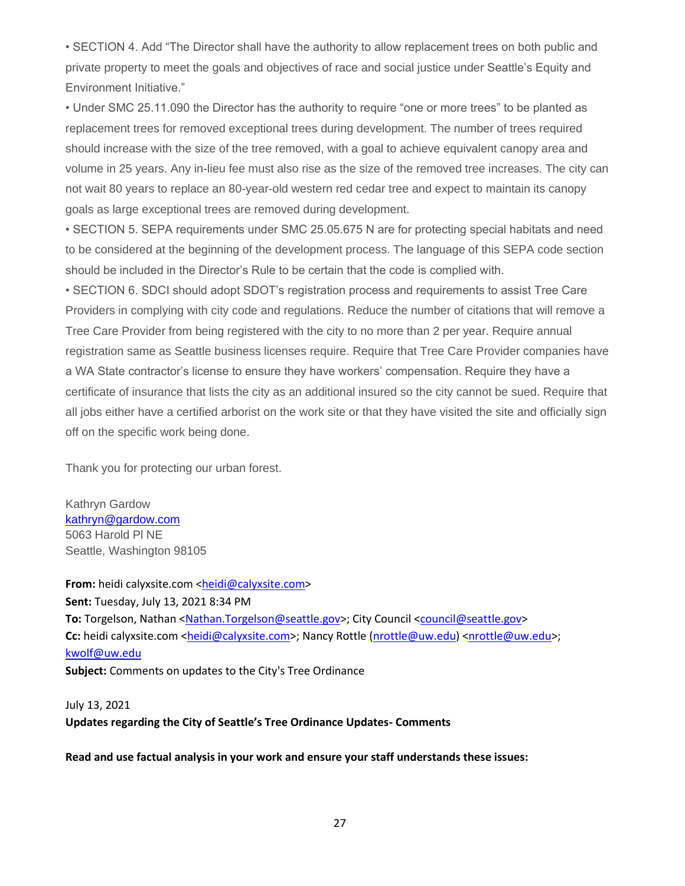• SECTION 4. Add "The Director shall have the authority to allow replacement trees on both public and private property to meet the goals and objectives of race and social justice under Seattle's Equity and Environment Initiative."

• Under SMC 25.11.090 the Director has the authority to require "one or more trees" to be planted as replacement trees for removed exceptional trees during development. The number of trees required should increase with the size of the tree removed, with a goal to achieve equivalent canopy area and volume in 25 years. Any in-lieu fee must also rise as the size of the removed tree increases. The city can not wait 80 years to replace an 80-year-old western red cedar tree and expect to maintain its canopy goals as large exceptional trees are removed during development.

• SECTION 5. SEPA requirements under SMC 25.05.675 N are for protecting special habitats and need to be considered at the beginning of the development process. The language of this SEPA code section should be included in the Director's Rule to be certain that the code is complied with.

• SECTION 6. SDCI should adopt SDOT's registration process and requirements to assist Tree Care Providers in complying with city code and regulations. Reduce the number of citations that will remove a Tree Care Provider from being registered with the city to no more than 2 per year. Require annual registration same as Seattle business licenses require. Require that Tree Care Provider companies have a WA State contractor's license to ensure they have workers' compensation. Require they have a certificate of insurance that lists the city as an additional insured so the city cannot be sued. Require that all jobs either have a certified arborist on the work site or that they have visited the site and officially sign off on the specific work being done.

Thank you for protecting our urban forest.

Kathryn Gardow [kathryn@gardow.com](mailto:kathryn@gardow.com) 5063 Harold Pl NE Seattle, Washington 98105

From: heidi calyxsite.com [<heidi@calyxsite.com>](mailto:heidi@calyxsite.com) **Sent:** Tuesday, July 13, 2021 8:34 PM **To:** Torgelson, Nathan [<Nathan.Torgelson@seattle.gov>](mailto:Nathan.Torgelson@seattle.gov); City Council [<council@seattle.gov>](mailto:council@seattle.gov) **Cc:** heidi calyxsite.com [<heidi@calyxsite.com>](mailto:heidi@calyxsite.com); Nancy Rottle [\(nrottle@uw.edu\)](mailto:nrottle@uw.edu) [<nrottle@uw.edu>](mailto:nrottle@uw.edu); [kwolf@uw.edu](mailto:kwolf@uw.edu) **Subject:** Comments on updates to the City's Tree Ordinance

July 13, 2021 **Updates regarding the City of Seattle's Tree Ordinance Updates- Comments**

**Read and use factual analysis in your work and ensure your staff understands these issues:**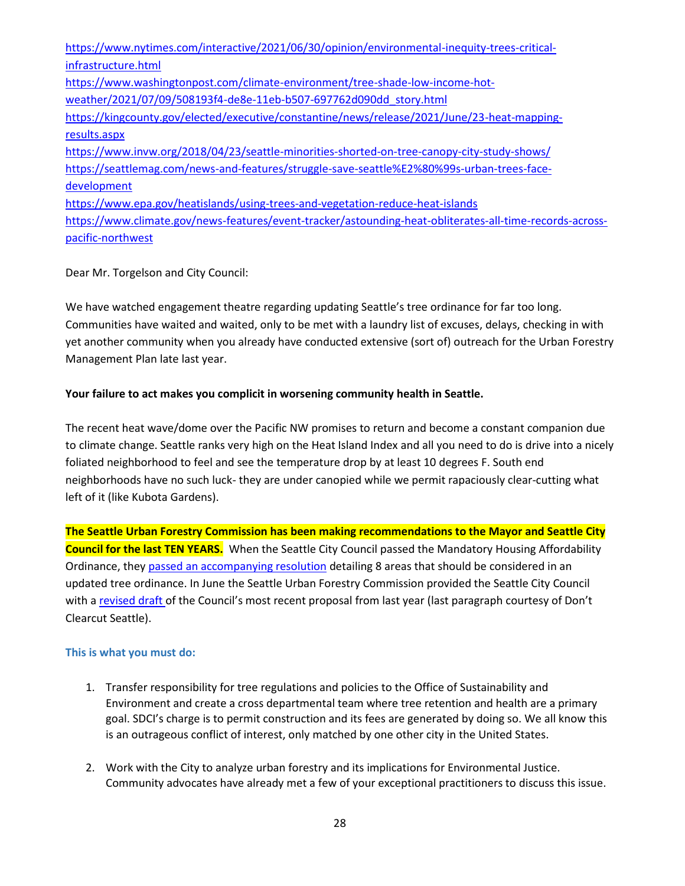[https://www.nytimes.com/interactive/2021/06/30/opinion/environmental-inequity-trees-critical](https://www.nytimes.com/interactive/2021/06/30/opinion/environmental-inequity-trees-critical-infrastructure.html)[infrastructure.html](https://www.nytimes.com/interactive/2021/06/30/opinion/environmental-inequity-trees-critical-infrastructure.html) [https://www.washingtonpost.com/climate-environment/tree-shade-low-income-hot](https://www.washingtonpost.com/climate-environment/tree-shade-low-income-hot-weather/2021/07/09/508193f4-de8e-11eb-b507-697762d090dd_story.html)[weather/2021/07/09/508193f4-de8e-11eb-b507-697762d090dd\\_story.html](https://www.washingtonpost.com/climate-environment/tree-shade-low-income-hot-weather/2021/07/09/508193f4-de8e-11eb-b507-697762d090dd_story.html) [https://kingcounty.gov/elected/executive/constantine/news/release/2021/June/23-heat-mapping](https://kingcounty.gov/elected/executive/constantine/news/release/2021/June/23-heat-mapping-results.aspx)[results.aspx](https://kingcounty.gov/elected/executive/constantine/news/release/2021/June/23-heat-mapping-results.aspx) [https://www.invw.org/2018/04/23/seattle-minorities-shorted-on-tree-canopy-city-study-shows/](https://protect2.fireeye.com/v1/url?k=7efabbf4-216182da-7efa9344-86c89b3c9da5-cda43b543ecc8605&q=1&e=b81c773e-8ca7-4ebc-8824-000e1e16e919&u=https%3A%2F%2Fwww.invw.org%2F2018%2F04%2F23%2Fseattle-minorities-shorted-on-tree-canopy-city-study-shows%2F) [https://seattlemag.com/news-and-features/struggle-save-seattle%E2%80%99s-urban-trees-face](https://protect2.fireeye.com/v1/url?k=19dffdf7-4644c4d9-19dfd547-86c89b3c9da5-59944c045d9e0390&q=1&e=b81c773e-8ca7-4ebc-8824-000e1e16e919&u=https%3A%2F%2Fseattlemag.com%2Fnews-and-features%2Fstruggle-save-seattle%25E2%2580%2599s-urban-trees-face-development)[development](https://protect2.fireeye.com/v1/url?k=19dffdf7-4644c4d9-19dfd547-86c89b3c9da5-59944c045d9e0390&q=1&e=b81c773e-8ca7-4ebc-8824-000e1e16e919&u=https%3A%2F%2Fseattlemag.com%2Fnews-and-features%2Fstruggle-save-seattle%25E2%2580%2599s-urban-trees-face-development) <https://www.epa.gov/heatislands/using-trees-and-vegetation-reduce-heat-islands> [https://www.climate.gov/news-features/event-tracker/astounding-heat-obliterates-all-time-records-across](https://protect2.fireeye.com/v1/url?k=1eb0f0a9-412bc987-1eb0d819-86c89b3c9da5-d226180c84effc4d&q=1&e=b81c773e-8ca7-4ebc-8824-000e1e16e919&u=https%3A%2F%2Fwww.climate.gov%2Fnews-features%2Fevent-tracker%2Fastounding-heat-obliterates-all-time-records-across-pacific-northwest)[pacific-northwest](https://protect2.fireeye.com/v1/url?k=1eb0f0a9-412bc987-1eb0d819-86c89b3c9da5-d226180c84effc4d&q=1&e=b81c773e-8ca7-4ebc-8824-000e1e16e919&u=https%3A%2F%2Fwww.climate.gov%2Fnews-features%2Fevent-tracker%2Fastounding-heat-obliterates-all-time-records-across-pacific-northwest)

Dear Mr. Torgelson and City Council:

We have watched engagement theatre regarding updating Seattle's tree ordinance for far too long. Communities have waited and waited, only to be met with a laundry list of excuses, delays, checking in with yet another community when you already have conducted extensive (sort of) outreach for the Urban Forestry Management Plan late last year.

# **Your failure to act makes you complicit in worsening community health in Seattle.**

The recent heat wave/dome over the Pacific NW promises to return and become a constant companion due to climate change. Seattle ranks very high on the Heat Island Index and all you need to do is drive into a nicely foliated neighborhood to feel and see the temperature drop by at least 10 degrees F. South end neighborhoods have no such luck- they are under canopied while we permit rapaciously clear-cutting what left of it (like Kubota Gardens).

**The Seattle Urban Forestry Commission has been making recommendations to the Mayor and Seattle City Council for the last TEN YEARS.** When the Seattle City Council passed the Mandatory Housing Affordability Ordinance, the[y passed an accompanying resolution](https://protect2.fireeye.com/v1/url?k=425a1ff5-1dc126db-425a3745-86c89b3c9da5-470e8ec9e809a85e&q=1&e=b81c773e-8ca7-4ebc-8824-000e1e16e919&u=https%3A%2F%2Ffriends.urbanforests.org%2F2019%2F04%2F13%2Fseattle-city-council-mha-resolution-section-on-trees%2F) detailing 8 areas that should be considered in an updated tree ordinance. In June the Seattle Urban Forestry Commission provided the Seattle City Council with [a revised draft](https://protect2.fireeye.com/v1/url?k=6c9199c7-330aa0e9-6c91b177-86c89b3c9da5-ad29f3299fd40f44&q=1&e=b81c773e-8ca7-4ebc-8824-000e1e16e919&u=https%3A%2F%2Fwww.dontclearcutseattle.org%2F%23popmake-1005) of the Council's most recent proposal from last year (last paragraph courtesy of Don't Clearcut Seattle).

# **This is what you must do:**

- 1. Transfer responsibility for tree regulations and policies to the Office of Sustainability and Environment and create a cross departmental team where tree retention and health are a primary goal. SDCI's charge is to permit construction and its fees are generated by doing so. We all know this is an outrageous conflict of interest, only matched by one other city in the United States.
- 2. Work with the City to analyze urban forestry and its implications for Environmental Justice. Community advocates have already met a few of your exceptional practitioners to discuss this issue.